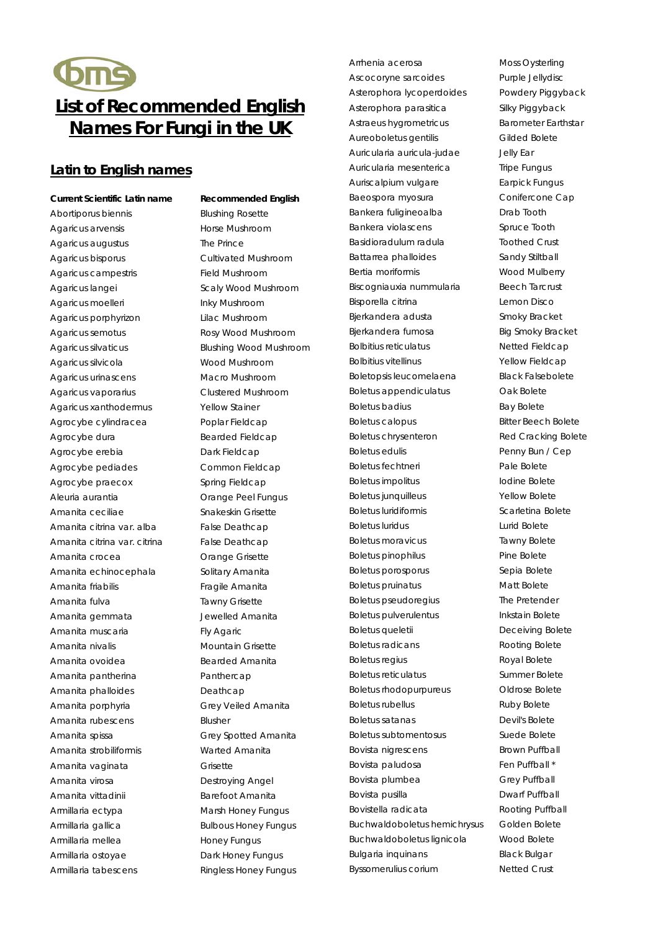# OmS **List of Recommended English Names For Fungi in the UK**

### **Latin to English names**

#### **Current Scientific Latin name Recommended English**

Abortiporus biennis Blushing Rosette Agaricus arvensis **Agaricus** Horse Mushroom Agaricus augustus The Prince Agaricus bisporus Cultivated Mushroom Agaricus campestris Field Mushroom Agaricus langei **Scaly Wood Mushroom** Agaricus moelleri **Inky Mushroom** Agaricus porphyrizon Lilac Mushroom Agaricus semotus Rosy Wood Mushroom Agaricus silvaticus Blushing Wood Mushroom Agaricus silvicola Wood Mushroom Agaricus urinascens **Macro Mushroom** Agaricus vaporarius Clustered Mushroom Agaricus xanthodermus Yellow Stainer Agrocybe cylindracea Poplar Fieldcap Agrocybe dura Bearded Fieldcap Agrocybe erebia Dark Fieldcap Agrocybe pediades Common Fieldcap Agrocybe praecox Spring Fieldcap Aleuria aurantia Orange Peel Fungus Amanita ceciliae Snakeskin Grisette Amanita citrina var. alba False Deathcap Amanita citrina var. citrina False Deathcap Amanita crocea **Orange Grisette** Amanita echinocephala Solitary Amanita Amanita friabilis **Amanita** Fragile Amanita Amanita fulva Tawny Grisette Amanita gemmata Jewelled Amanita Amanita muscaria **Fly Agaric** Amanita nivalis **Mountain Grisette** Amanita ovoidea Bearded Amanita Amanita pantherina **Panthercap** Amanita phalloides **Deathcap** Amanita porphyria Grey Veiled Amanita Amanita rubescens Blusher Amanita spissa Grey Spotted Amanita Amanita strobiliformis **Warted Amanita** Amanita vaginata **Grisette** Amanita virosa **Destroying Angel** Amanita vittadinii **Barefoot Amanita** Armillaria ectypa Marsh Honey Fungus Armillaria gallica Bulbous Honey Fungus Armillaria mellea **Honey Fungus** Armillaria ostoyae Dark Honey Fungus

Armillaria tabescens Ringless Honey Fungus

Arrhenia acerosa Moss Oysterling Ascocoryne sarcoides Purple Jellydisc Asterophora lycoperdoides Powdery Piggyback Asterophora parasitica Silky Piggyback Astraeus hygrometricus Barometer Earthstar Aureoboletus gentilis Gilded Bolete Auricularia auricula-judae Jelly Ear Auricularia mesenterica Tripe Fungus Auriscalpium vulgare **Earpick Fungus** Baeospora myosura Conifercone Cap Bankera fuligineoalba **Drab Tooth** Bankera violascens Spruce Tooth Basidioradulum radula Toothed Crust Battarrea phalloides Sandy Stiltball Bertia moriformis **Wood Mulberry** Biscogniauxia nummularia Beech Tarcrust Bisporella citrina Lemon Disco Bjerkandera adusta Smoky Bracket Bjerkandera fumosa Big Smoky Bracket Bolbitius reticulatus Netted Fieldcap Bolbitius vitellinus **Yellow Fieldcap** Boletopsis leucomelaena Black Falsebolete Boletus appendiculatus **Cak Bolete** Boletus badius **Bay Bolete** Boletus calopus Bitter Beech Bolete Boletus chrysenteron Red Cracking Bolete Boletus edulis **Penny Bun / Cep** Boletus fechtneri eta alternativa era Pale Bolete Boletus impolitus **International International International International International International International International International International International International International International Interna** Boletus junquilleus **Yellow Bolete** Boletus luridiformis Scarletina Bolete Boletus luridus Lurid Bolete Boletus moravicus Tawny Bolete Boletus pinophilus **Pine Bolete** Boletus porosporus sepia Bolete Boletus pruinatus **Matt Bolete** Boletus pseudoregius The Pretender Boletus pulverulentus **Inkstain Bolete** Boletus queletii Deceiving Bolete Boletus radicans **Rooting Bolete** Boletus regius and a compact Royal Bolete Boletus reticulatus **Summer Bolete** Boletus rhodopurpureus Oldrose Bolete Boletus rubellus and a series Ruby Bolete Boletus satanas Devil's Bolete Boletus subtomentosus Suede Bolete Bovista nigrescens Brown Puffball Bovista paludosa Fen Puffball \* Bovista plumbea Grey Puffball Bovista pusilla **Dwarf Puffball** Bovistella radicata Rooting Puffball Buchwaldoboletus hemichrysus Golden Bolete Buchwaldoboletus lignicola Wood Bolete Bulgaria inquinans **Black Bulgar** Byssomerulius corium and Netted Crust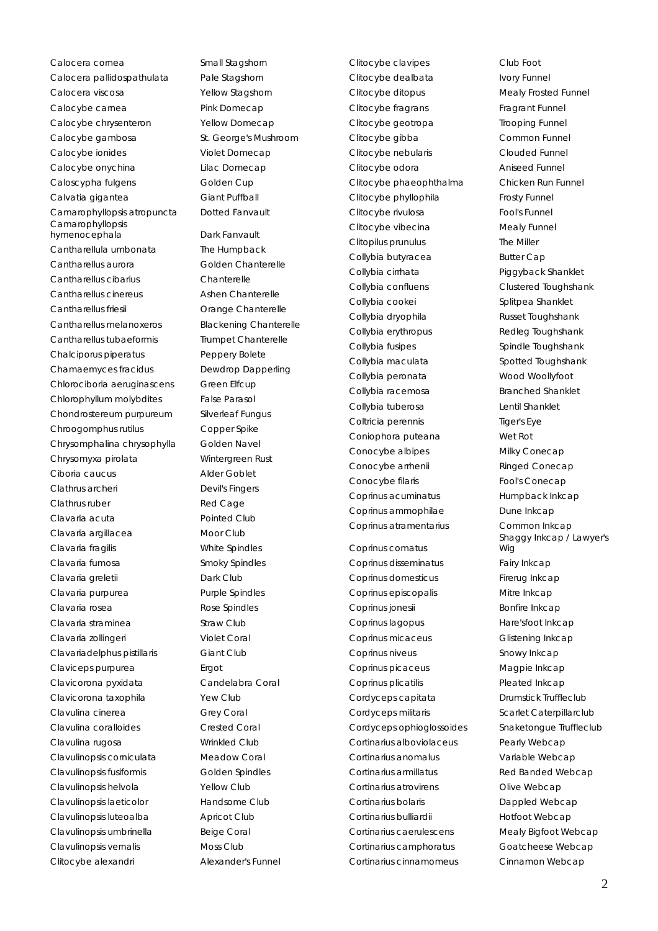Calocera cornea Small Stagshorn Calocera pallidospathulata Pale Stagshorn Calocera viscosa Yellow Stagshorn Calocybe carnea Pink Domecap Calocybe chrysenteron Yellow Domecap Calocybe gambosa St. George's Mushroom Calocybe ionides Violet Domecap Calocybe onychina Lilac Domecap Caloscypha fulgens Golden Cup Calvatia gigantea Giant Puffball Camarophyllopsis atropuncta Dotted Fanvault Camarophyllopsis hymenocephala Dark Fanvault Cantharellula umbonata The Humpback Cantharellus aurora Golden Chanterelle Cantharellus cibarius Chanterelle Cantharellus cinereus **Ashen Chanterelle** Cantharellus friesii Orange Chanterelle Cantharellus melanoxeros Blackening Chanterelle Cantharellus tubaeformis Trumpet Chanterelle Chalciporus piperatus Peppery Bolete Chamaemyces fracidus Dewdrop Dapperling Chlorociboria aeruginascens Green Elfcup Chlorophyllum molybdites False Parasol Chondrostereum purpureum Silverleaf Fungus Chroogomphus rutilus Copper Spike Chrysomphalina chrysophylla Golden Navel Chrysomyxa pirolata Wintergreen Rust Ciboria caucus Alder Goblet Clathrus archeri Devil's Fingers Clathrus ruber **Red Cage** Clavaria acuta Pointed Club Clavaria argillacea Moor Club Clavaria fragilis White Spindles Clavaria fumosa Smoky Spindles Clavaria greletii Dark Club Clavaria purpurea Purple Spindles Clavaria rosea Rose Spindles Clavaria straminea eta straw Club Clavaria zollingeri Violet Coral Clavariadelphus pistillaris Giant Club Claviceps purpurea external error error error error en Ergot Clavicorona pyxidata Candelabra Coral Clavicorona taxophila Yew Club Clavulina cinerea Grey Coral Clavulina coralloides Crested Coral Clavulina rugosa Wrinkled Club Clavulinopsis corniculata Meadow Coral Clavulinopsis fusiformis Golden Spindles Clavulinopsis helvola Yellow Club Clavulinopsis laeticolor Flandsome Club Clavulinopsis luteoalba **Apricot Club** Clavulinopsis umbrinella Beige Coral Clavulinopsis vernalis Moss Club Clitocybe alexandri **Alexander's Funnel** 

Clitocybe dealbata Ivory Funnel Clitocybe ditopus Mealy Frosted Funnel Clitocybe fragrans Fragrant Funnel Clitocybe geotropa Trooping Funnel Clitocybe gibba Common Funnel Clitocybe nebularis Clouded Funnel Clitocybe odora **Aniseed Funnel** Clitocybe phaeophthalma Chicken Run Funnel Clitocybe phyllophila Frosty Funnel Clitocybe rivulosa Fool's Funnel Clitocybe vibecina Mealy Funnel Clitopilus prunulus The Miller Collybia butyracea Butter Cap Collybia cirrhata Piggyback Shanklet Collybia confluens Clustered Toughshank Collybia cookei Splitpea Shanklet Collybia dryophila Russet Toughshank Collybia erythropus Redleg Toughshank Collybia fusipes Spindle Toughshank Collybia maculata Spotted Toughshank Collybia peronata Wood Woollyfoot Collybia racemosa Branched Shanklet Collybia tuberosa Lentil Shanklet Coltricia perennis Tiger's Eye Coniophora puteana Wet Rot Conocybe albipes Milky Conecap Conocybe arrhenii Ringed Conecap Conocybe filaris Fool's Conecap Coprinus acuminatus Humpback Inkcap Coprinus ammophilae Dune Inkcap Coprinus atramentarius Common Inkcap

Coprinus comatus Coprinus disseminatus Fairy Inkcap Coprinus domesticus Firerug Inkcap Coprinus episcopalis Mitre Inkcap Coprinus jonesii Bonfire Inkcap Coprinus lagopus Hare'sfoot Inkcap Coprinus micaceus Glistening Inkcap Coprinus niveus Snowy Inkcap Coprinus picaceus Magpie Inkcap Coprinus plicatilis Pleated Inkcap Cordyceps capitata Drumstick Truffleclub Cordyceps militaris Scarlet Caterpillarclub Cordyceps ophioglossoides Snaketongue Truffleclub Cortinarius alboviolaceus Pearly Webcap Cortinarius anomalus Variable Webcap Cortinarius armillatus Red Banded Webcap Cortinarius atrovirens **Colivation** Olive Webcap Cortinarius bolaris **Dappled Webcap** Cortinarius bulliardii **Hotfoot Webcap** Cortinarius caerulescens Mealy Bigfoot Webcap Cortinarius camphoratus Goatcheese Webcap Cortinarius cinnamomeus Cinnamon Webcap

Clitocybe clavipes Club Foot Shaggy Inkcap / Lawyer's Wig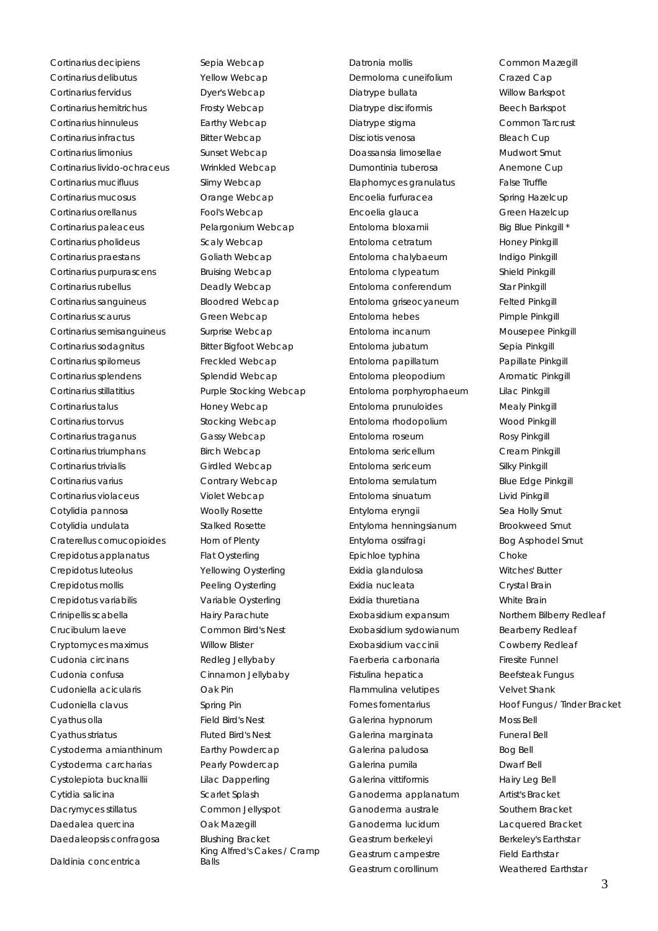Cortinarius decipiens **Sepia Webcap** Cortinarius delibutus **Yellow Webcap** Cortinarius fervidus **Dyer's Webcap** Cortinarius hemitrichus Frosty Webcap Cortinarius hinnuleus **Earthy Webcap** Cortinarius infractus **Bitter Webcap** Cortinarius limonius **Sunset Webcap** Cortinarius livido-ochraceus Wrinkled Webcap Cortinarius mucifluus Slimy Webcap Cortinarius mucosus **Cortinarius** mucosus **Cortinarius** Orange Webcap Cortinarius orellanus Fool's Webcap Cortinarius paleaceus Pelargonium Webcap Cortinarius pholideus Scaly Webcap Cortinarius praestans Goliath Webcap Cortinarius purpurascens Bruising Webcap Cortinarius rubellus **Deadly Webcap** Cortinarius sanguineus Bloodred Webcap Cortinarius scaurus Green Webcap Cortinarius semisanguineus Surprise Webcap Cortinarius sodagnitus Bitter Bigfoot Webcap Cortinarius spilomeus Freckled Webcap Cortinarius splendens Splendid Webcap Cortinarius stillatitius Purple Stocking Webcap Cortinarius talus extended the Honey Webcap Cortinarius torvus Stocking Webcap Cortinarius traganus Gassy Webcap Cortinarius triumphans Birch Webcap Cortinarius trivialis Cortinarius trivialis Cortinarius varius Contrary Webcap Cortinarius violaceus violet Webcap Cotylidia pannosa Woolly Rosette Cotylidia undulata Stalked Rosette Craterellus cornucopioides Horn of Plenty Crepidotus applanatus Flat Oysterling Crepidotus luteolus Yellowing Oysterling Crepidotus mollis **Peeling Oysterling** Crepidotus variabilis Variable Oysterling Crinipellis scabella Hairy Parachute Crucibulum laeve Common Bird's Nest Cryptomyces maximus Willow Blister Cudonia circinans Redleg Jellybaby Cudonia confusa Cinnamon Jellybaby Cudoniella acicularis Oak Pin Cudoniella clavus Spring Pin Cyathus olla Field Bird's Nest Cyathus striatus Fluted Bird's Nest Cystoderma amianthinum Earthy Powdercap Cystoderma carcharias Pearly Powdercap Cystolepiota bucknallii Lilac Dapperling Cytidia salicina et al. Scarlet Splash Dacrymyces stillatus Common Jellyspot Daedalea quercina **Oak Mazegill** Daedaleopsis confragosa Blushing Bracket

Daldinia concentrica

Balls

King Alfred's Cakes / Cramp

Datronia mollis **Common Mazegill** Dermoloma cuneifolium Crazed Cap Diatrype bullata Willow Barkspot Diatrype disciformis Beech Barkspot Diatrype stigma<br>
Common Tarcrust Disciotis venosa Bleach Cup Doassansia limosellae Mudwort Smut Dumontinia tuberosa and anemone Cup Elaphomyces granulatus False Truffle Encoelia furfuracea Spring Hazelcup Encoelia glauca<br>
Green Hazelcup Entoloma bloxamii Big Blue Pinkgill \* Entoloma cetratum Honey Pinkgill Entoloma chalybaeum Indigo Pinkgill Entoloma clypeatum Shield Pinkgill Entoloma conferendum Star Pinkgill Entoloma griseocyaneum Felted Pinkgill Entoloma hebes Pimple Pinkgill Entoloma incanum Mousepee Pinkgill Entoloma jubatum Sepia Pinkgill Entoloma papillatum Papillate Pinkgill Entoloma pleopodium Aromatic Pinkgill Entoloma porphyrophaeum Lilac Pinkgill Entoloma prunuloides Mealy Pinkgill Entoloma rhodopolium Wood Pinkgill Entoloma roseum Rosy Pinkgill Entoloma sericellum Cream Pinkgill Entoloma sericeum Silky Pinkgill Entoloma serrulatum Blue Edge Pinkgill Entoloma sinuatum Livid Pinkgill Entyloma eryngii Sea Holly Smut Entyloma henningsianum Brookweed Smut Entyloma ossifragi entyloma and Bog Asphodel Smut Epichloe typhina Choke Exidia glandulosa Witches' Butter Exidia nucleata Crystal Brain Exidia thuretiana White Brain Exobasidium expansum Northern Bilberry Redleaf Exobasidium sydowianum Bearberry Redleaf Exobasidium vaccinii Cowberry Redleaf Faerberia carbonaria Firesite Funnel Fistulina hepatica<br>
Beefsteak Fungus Flammulina velutipes **Velvet Shank** Galerina hypnorum Moss Bell Galerina marginata Funeral Bell Galerina paludosa Bog Bell Galerina pumila **Dwarf Bell** Galerina vittiformis **Hairy Leg Bell** Ganoderma applanatum Artist's Bracket Ganoderma australe **Southern Bracket** Ganoderma lucidum Lacquered Bracket Geastrum berkeleyi Berkeley's Earthstar Geastrum campestre Field Earthstar Geastrum corollinum Weathered Earthstar

Fomes fomentarius **Hoof Fungus / Tinder Bracket**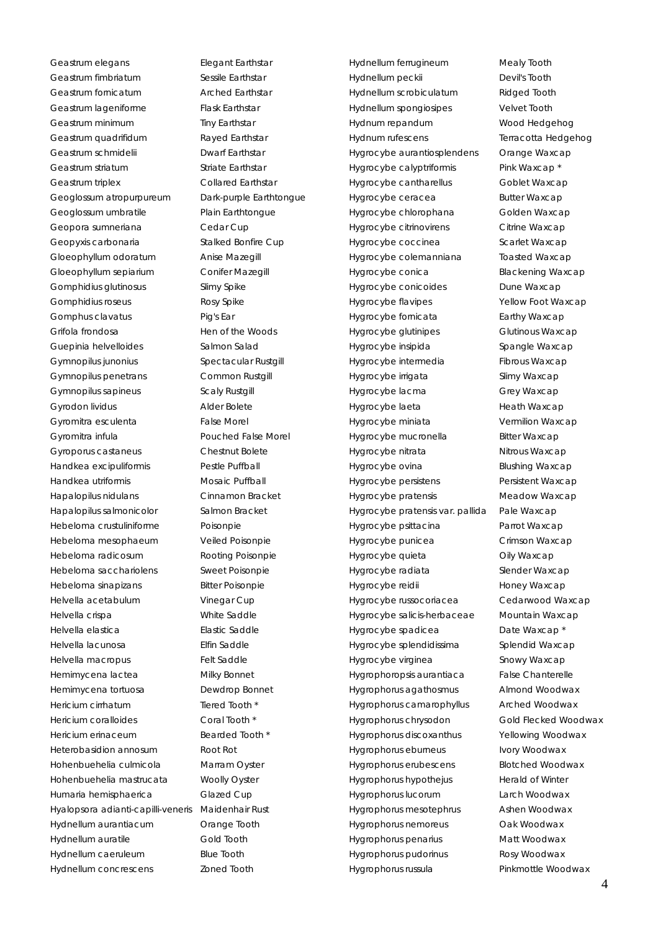Geastrum elegans **Elegant Earthstar** Geastrum fimbriatum **Sessile Earthstar** Geastrum fornicatum Arched Earthstar Geastrum lageniforme Flask Earthstar Geastrum minimum Tiny Earthstar Geastrum quadrifidum Rayed Earthstar Geastrum schmidelii **Dwarf Earthstar** Geastrum striatum **Striate Earthstar** Geastrum triplex Collared Earthstar Geoglossum atropurpureum Dark-purple Earthtongue Geoglossum umbratile Plain Earthtongue Geopora sumneriana **Cedar Cup** Geopyxis carbonaria Stalked Bonfire Cup Gloeophyllum odoratum Anise Mazegill Gloeophyllum sepiarium Conifer Mazegill Gomphidius glutinosus Slimy Spike Gomphidius roseus **Rosy Spike** Gomphus clavatus **Pig's Ear** Grifola frondosa Hen of the Woods Guepinia helvelloides Salmon Salad Gymnopilus junonius **Spectacular Rustgill** Gymnopilus penetrans Common Rustgill Gymnopilus sapineus **Scaly Rustgill** Gyrodon lividus Alder Bolete Gyromitra esculenta False Morel Gyromitra infula entity and the Pouched False Morel Gyroporus castaneus Chestnut Bolete Handkea excipuliformis Pestle Puffball Handkea utriformis Mosaic Puffball Hapalopilus nidulans Cinnamon Bracket Hapalopilus salmonicolor Salmon Bracket Hebeloma crustuliniforme Poisonpie Hebeloma mesophaeum Veiled Poisonpie Hebeloma radicosum Rooting Poisonpie Hebeloma sacchariolens Sweet Poisonpie Hebeloma sinapizans Bitter Poisonpie Helvella acetabulum Vinegar Cup Helvella crispa White Saddle Helvella elastica Elastic Saddle Helvella lacunosa Elfin Saddle Helvella macropus Felt Saddle Hemimycena lactea Milky Bonnet Hemimycena tortuosa Dewdrop Bonnet Hericium cirrhatum Tiered Tooth \* Hericium coralloides Coral Tooth \* Hericium erinaceum Bearded Tooth \* Heterobasidion annosum Root Rot Hohenbuehelia culmicola Marram Oyster Hohenbuehelia mastrucata Woolly Oyster Humaria hemisphaerica Glazed Cup Hyalopsora adianti-capilli-veneris Maidenhair Rust Hydnellum aurantiacum Orange Tooth Hydnellum auratile Gold Tooth Hydnellum caeruleum Blue Tooth Hydnellum concrescens Zoned Tooth

Hydnellum ferrugineum Mealy Tooth Hydnellum peckii Devil's Tooth Hydnellum scrobiculatum Ridged Tooth Hydnellum spongiosipes Velvet Tooth Hydnum repandum Wood Hedgehog Hydnum rufescens Terracotta Hedgehog Hygrocybe aurantiosplendens Orange Waxcap Hygrocybe calyptriformis Pink Waxcap \* Hygrocybe cantharellus Goblet Waxcap Hygrocybe ceracea Butter Waxcap Hygrocybe chlorophana Golden Waxcap Hygrocybe citrinovirens Citrine Waxcap Hygrocybe coccinea Scarlet Waxcap Hygrocybe colemanniana Toasted Waxcap Hygrocybe conica Blackening Waxcap Hygrocybe conicoides **Dune Waxcap** Hygrocybe flavipes **Yellow Foot Waxcap** Hygrocybe fornicata **Earthy Waxcap** Hygrocybe glutinipes Glutinous Waxcap Hygrocybe insipida Spangle Waxcap Hygrocybe intermedia Fibrous Waxcap Hygrocybe irrigata Slimy Waxcap Hygrocybe lacma Grey Waxcap Hygrocybe laeta Heath Waxcap Hygrocybe miniata Vermilion Waxcap Hygrocybe mucronella Bitter Waxcap Hygrocybe nitrata Nitrous Waxcap Hygrocybe ovina Blushing Waxcap Hygrocybe persistens Persistent Waxcap Hygrocybe pratensis Meadow Waxcap Hygrocybe pratensis var. pallida Pale Waxcap Hygrocybe psittacina Parrot Waxcap Hygrocybe punicea Crimson Waxcap Hygrocybe quieta **Oily Waxcap** Hygrocybe radiata Slender Waxcap Hygrocybe reidii **Honey Waxcap** Hygrocybe russocoriacea Cedarwood Waxcap Hygrocybe salicis-herbaceae Mountain Waxcap Hygrocybe spadicea **Date Waxcap** Hygrocybe splendidissima Splendid Waxcap Hygrocybe virginea Snowy Waxcap Hygrophoropsis aurantiaca False Chanterelle Hygrophorus agathosmus Almond Woodwax Hygrophorus camarophyllus Arched Woodwax Hygrophorus chrysodon Gold Flecked Woodwax Hygrophorus discoxanthus Yellowing Woodwax Hygrophorus eburneus **Ivory Woodwax** Hygrophorus erubescens Blotched Woodwax Hygrophorus hypothejus Herald of Winter Hygrophorus lucorum Larch Woodwax Hygrophorus mesotephrus Ashen Woodwax Hygrophorus nemoreus Oak Woodwax Hygrophorus penarius Matt Woodwax Hygrophorus pudorinus Rosy Woodwax Hygrophorus russula Pinkmottle Woodwax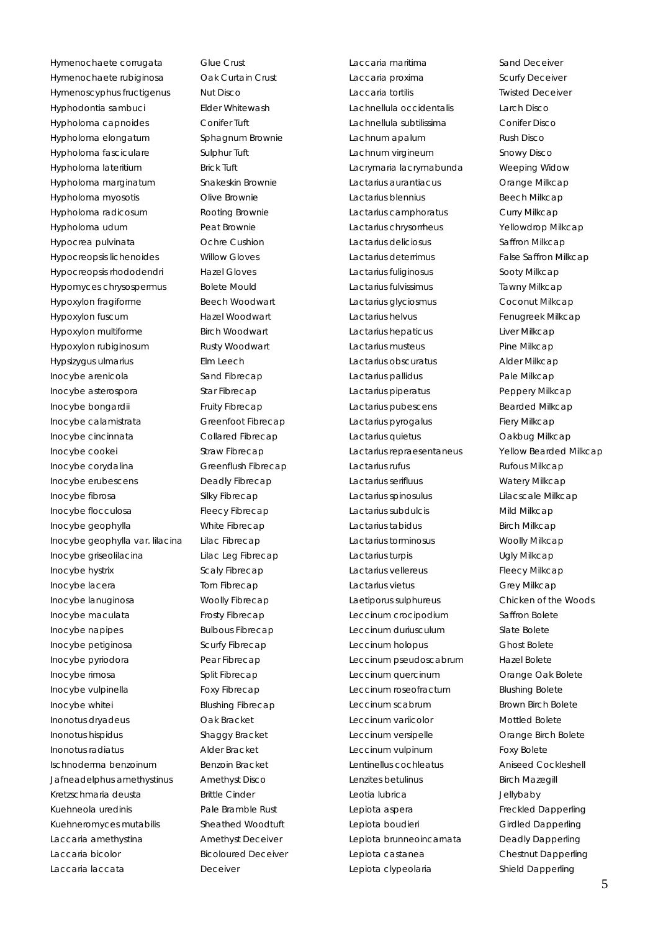Hymenochaete corrugata Glue Crust Hymenochaete rubiginosa Oak Curtain Crust Hymenoscyphus fructigenus Mut Disco Hyphodontia sambuci Elder Whitewash Hypholoma capnoides Conifer Tuft Hypholoma elongatum Sphagnum Brownie Hypholoma fasciculare Sulphur Tuft Hypholoma lateritium Brick Tuft Hypholoma marginatum Snakeskin Brownie Hypholoma myosotis Olive Brownie Hypholoma radicosum Rooting Brownie Hypholoma udum Peat Brownie Hypocrea pulvinata **Ochre Cushion** Hypocreopsis lichenoides Willow Gloves Hypocreopsis rhododendri Hazel Gloves Hypomyces chrysospermus Bolete Mould Hypoxylon fragiforme Beech Woodwart Hypoxylon fuscum Hazel Woodwart Hypoxylon multiforme Birch Woodwart Hypoxylon rubiginosum Rusty Woodwart Hypsizygus ulmarius Elm Leech Inocybe arenicola Sand Fibrecap Inocybe asterospora Star Fibrecap Inocybe bongardii Fruity Fibrecap Inocybe calamistrata Greenfoot Fibrecap Inocybe cincinnata Collared Fibrecap Inocybe cookei Straw Fibrecap Inocybe corydalina Greenflush Fibrecap Inocybe erubescens Deadly Fibrecap Inocybe fibrosa Silky Fibrecap Inocybe flocculosa Fleecy Fibrecap Inocybe geophylla White Fibrecap Inocybe geophylla var. lilacina Lilac Fibrecap Inocybe griseolilacina Lilac Leg Fibrecap Inocybe hystrix Scaly Fibrecap Inocybe lacera Torn Fibrecap Inocybe lanuginosa Woolly Fibrecap Inocybe maculata Frosty Fibrecap Inocybe napipes Bulbous Fibrecap Inocybe petiginosa Scurfy Fibrecap Inocybe pyriodora Pear Fibrecap Inocybe rimosa Split Fibrecap Inocybe vulpinella Foxy Fibrecap Inocybe whitei Blushing Fibrecap Inonotus dryadeus **Oak Bracket** Inonotus hispidus Shaggy Bracket Inonotus radiatus Alder Bracket Ischnoderma benzoinum Benzoin Bracket Jafneadelphus amethystinus Amethyst Disco Kretzschmaria deusta Brittle Cinder Kuehneola uredinis Pale Bramble Rust Kuehneromyces mutabilis Sheathed Woodtuft Laccaria amethystina Amethyst Deceiver Laccaria bicolor Bicoloured Deceiver Laccaria laccata Deceiver

Laccaria maritima Sand Deceiver Laccaria proxima Scurfy Deceiver Laccaria tortilis Twisted Deceiver Lachnellula occidentalis Larch Disco Lachnellula subtilissima Conifer Disco Lachnum apalum Rush Disco Lachnum virgineum Snowy Disco Lacrymaria lacrymabunda Weeping Widow Lactarius aurantiacus **Cange Milkcap** Lactarius blennius **Beech Milkcap** Lactarius camphoratus Curry Milkcap Lactarius chrysorrheus Yellowdrop Milkcap Lactarius deliciosus **Saffron Milkcap** Lactarius deterrimus False Saffron Milkcap Lactarius fuliginosus **Sooty Milkcap** Lactarius fulvissimus Tawny Milkcap Lactarius glyciosmus Coconut Milkcap Lactarius helvus **Fenugreek Milkcap** Lactarius hepaticus **Liver Milkcap** Lactarius musteus **Example 20** Pine Milkcap Lactarius obscuratus **Alder Milkcap** Lactarius pallidus et al. et al. Pale Milkcap Lactarius piperatus **Example 20 Feedbar 19 Peppery Milkcap** Lactarius pubescens Bearded Milkcap Lactarius pyrogalus Fiery Milkcap Lactarius quietus **Cakbug Milkcap** Lactarius repraesentaneus Yellow Bearded Milkcap Lactarius rufus **Rufous Milkcap** Lactarius serifluus Watery Milkcap Lactarius spinosulus Lilacscale Milkcap Lactarius subdulcis Mild Milkcap Lactarius tabidus **Birch Milkcap** Lactarius torminosus **Woolly Milkcap** Lactarius turpis **Example 20** Ugly Milkcap Lactarius vellereus Fleecy Milkcap Lactarius vietus Grey Milkcap Laetiporus sulphureus Chicken of the Woods Leccinum crocipodium Saffron Bolete Leccinum duriusculum Slate Bolete Leccinum holopus Ghost Bolete Leccinum pseudoscabrum Hazel Bolete Leccinum quercinum **Cange Oak Bolete** Leccinum roseofractum Blushing Bolete Leccinum scabrum Brown Birch Bolete Leccinum variicolor **Mottled Bolete** Leccinum versipelle **Cange Birch Bolete** Leccinum vulpinum et al. Foxy Bolete Lentinellus cochleatus Aniseed Cockleshell Lenzites betulinus and a Birch Mazegill Leotia lubrica Jellybaby Lepiota aspera<br>
Freckled Dapperling Lepiota boudieri Girdled Dapperling Lepiota brunneoincarnata Deadly Dapperling Lepiota castanea Chestnut Dapperling Lepiota clypeolaria eta shield Dapperling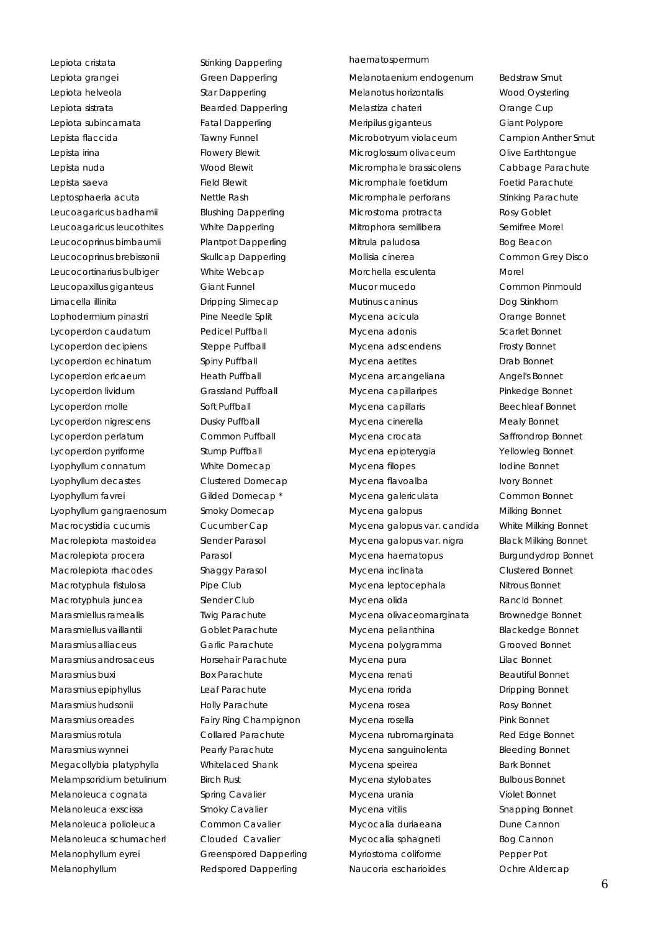Lepiota cristata **Stinking Dapperling** Lepiota grangei Green Dapperling Lepiota helveola Star Dapperling Lepiota sistrata **Bearded Dapperling** Lepiota subincarnata Fatal Dapperling Lepista flaccida Tawny Funnel Lepista irina **Flowery Blewit** Lepista nuda Wood Blewit Lepista saeva<br>
Field Blewit Leptosphaeria acuta **Nettle Rash** Leucoagaricus badhamii Blushing Dapperling Leucoagaricus leucothites White Dapperling Leucocoprinus birnbaumii Plantpot Dapperling Leucocoprinus brebissonii Skullcap Dapperling Leucocortinarius bulbiger White Webcap Leucopaxillus giganteus Giant Funnel Limacella illinita Dripping Slimecap Lophodermium pinastri Pine Needle Split Lycoperdon caudatum Pedicel Puffball Lycoperdon decipiens Steppe Puffball Lycoperdon echinatum Spiny Puffball Lycoperdon ericaeum Heath Puffball Lycoperdon lividum Grassland Puffball Lycoperdon molle Soft Puffball Lycoperdon nigrescens **Dusky Puffball** Lycoperdon perlatum Common Puffball Lycoperdon pyriforme Stump Puffball Lyophyllum connatum White Domecap Lyophyllum decastes Clustered Domecap Lyophyllum favrei Gilded Domecap<sup>\*</sup> Lyophyllum gangraenosum Smoky Domecap Macrocystidia cucumis Cucumber Cap Macrolepiota mastoidea Slender Parasol Macrolepiota procera Parasol Macrolepiota rhacodes Shaggy Parasol Macrotyphula fistulosa Pipe Club Macrotyphula juncea<br>
Slender Club Marasmiellus ramealis Twig Parachute Marasmiellus vaillantii **Goblet Parachute** Marasmius alliaceus Garlic Parachute Marasmius androsaceus Horsehair Parachute Marasmius buxi Box Parachute Marasmius epiphyllus Leaf Parachute Marasmius hudsonii **Holly Parachute** Marasmius oreades Fairy Ring Champignon Marasmius rotula Collared Parachute Marasmius wynnei Pearly Parachute Megacollybia platyphylla Whitelaced Shank Melampsoridium betulinum Birch Rust Melanoleuca cognata **Spring Cavalier** Spring Cavalier Melanoleuca exscissa Smoky Cavalier Melanoleuca polioleuca Common Cavalier Melanoleuca schumacheri Clouded Cavalier Melanophyllum eyrei Greenspored Dapperling Melanophyllum Redspored Dapperling

#### haematospermum

Melanotaenium endogenum Bedstraw Smut Melanotus horizontalis Wood Oysterling Melastiza chateri **Cange Cup** Meripilus giganteus Giant Polypore Microbotryum violaceum Campion Anther Smut Microglossum olivaceum Olive Earthtongue Micromphale brassicolens Cabbage Parachute Micromphale foetidum Foetid Parachute Micromphale perforans Stinking Parachute Microstoma protracta Rosy Goblet Mitrophora semilibera **Semifree Morel** Mitrula paludosa Bog Beacon Mollisia cinerea Common Grey Disco Morchella esculenta **Morchella** esculenta Mucor mucedo Common Pinmould Mutinus caninus **Dog Stinkhorn** Mycena acicula **Cange Bonnet** Mycena adonis Scarlet Bonnet Mycena adscendens Frosty Bonnet Mycena aetites **Drab Bonnet** Mycena arcangeliana **Angel's Bonnet** Mycena capillaripes **Pinkedge Bonnet** Mycena capillaris **Beechleaf Bonnet** Mycena cinerella Mealy Bonnet Mycena crocata Saffrondrop Bonnet Mycena epipterygia Yellowleg Bonnet Mycena filopes **Internal in the Southern Propert** Mycena flavoalba **Ivory Bonnet** Mycena galericulata Common Bonnet Mycena galopus Milking Bonnet Mycena galopus var. candida White Milking Bonnet Mycena galopus var. nigra Black Milking Bonnet Mycena haematopus Burgundydrop Bonnet Mycena inclinata Clustered Bonnet Mycena leptocephala Nitrous Bonnet Mycena olida **Rancid Bonnet** Mycena olivaceomarginata Brownedge Bonnet Mycena pelianthina Blackedge Bonnet Mycena polygramma Grooved Bonnet Mycena pura **Ligatia** Lilac Bonnet Mycena renati Beautiful Bonnet Mycena rorida Dripping Bonnet Mycena rosea Rosy Bonnet Mycena rosella Pink Bonnet Mycena rubromarginata Red Edge Bonnet Mycena sanguinolenta Bleeding Bonnet Mycena speirea **Bark Bonnet** Mycena stylobates Bulbous Bonnet Mycena urania Violet Bonnet Mycena vitilis Snapping Bonnet Mycocalia duriaeana **Dune Cannon** Mycocalia sphagneti Bog Cannon Myriostoma coliforme **Pepper Pot** Naucoria escharioides **Canada Contra Aldercap**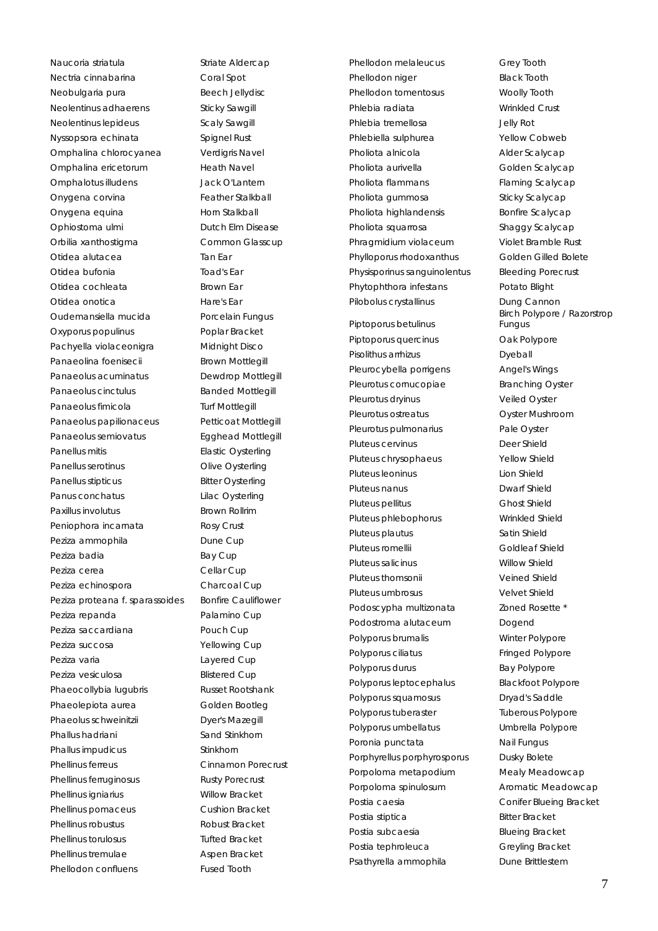Naucoria striatula entrante Striate Aldercap Nectria cinnabarina **Coral Spot** Neobulgaria pura Beech Jellydisc Neolentinus adhaerens Sticky Sawgill Neolentinus lepideus **Scaly Sawgill** Nyssopsora echinata Spignel Rust Omphalina chlorocyanea Verdigris Navel Omphalina ericetorum Heath Navel Omphalotus illudens Jack O'Lantern Onygena corvina Feather Stalkball Onygena equina **Horn Stalkball** Ophiostoma ulmi Dutch Elm Disease Orbilia xanthostigma Common Glasscup Otidea alutacea **Tan Ear** Otidea bufonia Toad's Ear Otidea cochleata Brown Far Otidea onotica Hare's Ear Oudemansiella mucida Porcelain Fungus Oxyporus populinus **Poplar Bracket** Pachyella violaceonigra Midnight Disco Panaeolina foenisecii Brown Mottlegill Panaeolus acuminatus **Dewdrop Mottlegill** Panaeolus cinctulus **Banded Mottlegill** Panaeolus fimicola<br>
Turf Mottlegill Panaeolus papilionaceus Petticoat Mottlegill Panaeolus semiovatus **Egghead Mottlegill** Panellus mitis **Elastic Oysterling** Panellus serotinus **Olive Oysterling** Panellus stipticus Bitter Oysterling Panus conchatus Lilac Oysterling Paxillus involutus **Brown Rollrim** Peniophora incarnata Rosy Crust Peziza ammophila **Dune Cup** Peziza badia **Bay Cup** Peziza cerea **Cellar** Cellar Cup Peziza echinospora Charcoal Cup Peziza proteana f. sparassoides Bonfire Cauliflower Peziza repanda Palamino Cup Peziza saccardiana **Pouch Cup** Peziza succosa Yellowing Cup Peziza varia eta aldiarra eta batxeta erreferentzia eta aldiarra eta aldiaren arte aldiaren arte aldiaren arte Peziza vesiculosa and Blistered Cup Phaeocollybia lugubris Russet Rootshank Phaeolepiota aurea Golden Bootleg Phaeolus schweinitzii Dyer's Mazegill Phallus hadriani Sand Stinkhorn Phallus impudicus **Stinkhorn** Phellinus ferreus Cinnamon Porecrust Phellinus ferruginosus Rusty Porecrust Phellinus igniarius Willow Bracket Phellinus pomaceus Cushion Bracket Phellinus robustus **Robust Bracket** Phellinus torulosus Tufted Bracket Phellinus tremulae Aspen Bracket Phellodon confluens Fused Tooth

Phellodon melaleucus Grey Tooth Phellodon niger Black Tooth Phellodon tomentosus **Woolly Tooth** Phlebia radiata Wrinkled Crust Phlebia tremellosa Jelly Rot Phlebiella sulphurea Yellow Cobweb Pholiota alnicola **Alder Scalycap** Pholiota aurivella **Golden** Scalycap Pholiota flammans Flaming Scalycap Pholiota gummosa Sticky Scalycap Pholiota highlandensis Bonfire Scalycap Pholiota squarrosa Shaggy Scalycap Phragmidium violaceum Violet Bramble Rust Phylloporus rhodoxanthus Golden Gilled Bolete Physisporinus sanguinolentus Bleeding Porecrust Phytophthora infestans Potato Blight Pilobolus crystallinus **Dung Cannon** Piptoporus betulinus Piptoporus quercinus **Oak Polypore** 

Pisolithus arrhizus **Dyeball** Pleurocybella porrigens **Angel's Wings** Pleurotus cornucopiae Branching Oyster Pleurotus dryinus veiled Oyster Pleurotus ostreatus **Oyster Mushroom** Pleurotus pulmonarius et al. Pale Oyster Pluteus cervinus Deer Shield Pluteus chrysophaeus Yellow Shield Pluteus leoninus Lion Shield Pluteus nanus Dwarf Shield Pluteus pellitus Chost Shield Pluteus phlebophorus Wrinkled Shield Pluteus plautus **Satin Shield** Pluteus romellii Goldleaf Shield Pluteus salicinus Willow Shield Pluteus thomsonii Veined Shield Pluteus umbrosus Velvet Shield Podoscypha multizonata Zoned Rosette \* Podostroma alutaceum **Dogend** Polyporus brumalis Winter Polypore Polyporus ciliatus **Fringed Polypore** Polyporus durus and the Bay Polypore Polyporus leptocephalus Blackfoot Polypore Polyporus squamosus Dryad's Saddle Polyporus tuberaster Tuberous Polypore Polyporus umbellatus Umbrella Polypore Poronia punctata Mail Fungus Porphyrellus porphyrosporus Dusky Bolete Porpoloma metapodium Mealy Meadowcap Porpoloma spinulosum **Aromatic Meadowcap** Postia caesia **Conifer Blueing Bracket** Postia stiptica<br>
Bitter Bracket Postia subcaesia Blueing Bracket Postia tephroleuca<br>
Greyling Bracket Psathyrella ammophila Dune Brittlestem

Birch Polypore / Razorstrop Fungus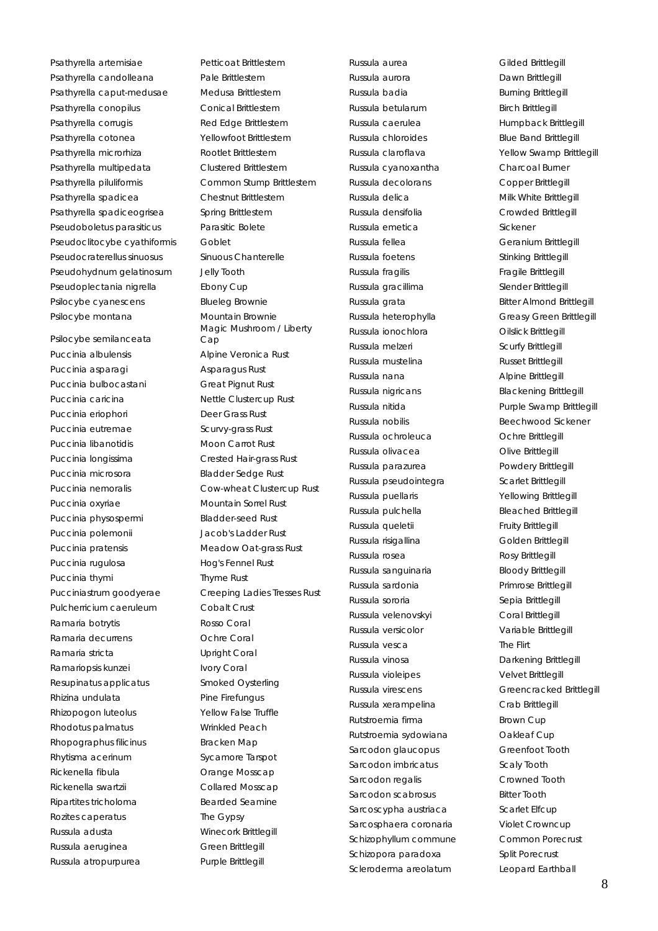Psathyrella artemisiae Petticoat Brittlestem Psathyrella candolleana Pale Brittlestem Psathyrella caput-medusae Medusa Brittlestem Psathyrella conopilus Conical Brittlestem Psathyrella corrugis Red Edge Brittlestem Psathyrella cotonea Yellowfoot Brittlestem Psathyrella microrhiza Rootlet Brittlestem Psathyrella multipedata Clustered Brittlestem Psathyrella piluliformis Common Stump Brittlestem Psathyrella spadicea Chestnut Brittlestem Psathyrella spadiceogrisea Spring Brittlestem Pseudoboletus parasiticus Parasitic Bolete Pseudoclitocybe cyathiformis Goblet Pseudocraterellus sinuosus Sinuous Chanterelle Pseudohydnum gelatinosum Jelly Tooth Pseudoplectania nigrella Ebony Cup Psilocybe cyanescens Blueleg Brownie Psilocybe montana Mountain Brownie

Psilocybe semilanceata Puccinia albulensis and alpine Veronica Rust Puccinia asparagi and asparagus Rust Puccinia bulbocastani Great Pignut Rust Puccinia caricina **Nettle Clustercup Rust** Puccinia eriophori Deer Grass Rust Puccinia eutremae Scurvy-grass Rust Puccinia libanotidis Moon Carrot Rust Puccinia longissima Crested Hair-grass Rust Puccinia microsora Bladder Sedge Rust Puccinia oxyriae Mountain Sorrel Rust Puccinia physospermi Bladder-seed Rust Puccinia polemonii Jacob's Ladder Rust Puccinia pratensis Meadow Oat-grass Rust Puccinia rugulosa Hog's Fennel Rust Puccinia thymi Thyme Rust Pulcherricium caeruleum Cobalt Crust Ramaria botrytis Rosso Coral Ramaria decurrens Ochre Coral Ramaria stricta **Upright Coral** Ramariopsis kunzei **Ivory Coral** Resupinatus applicatus Smoked Oysterling Rhizina undulata Pine Firefungus Rhizopogon luteolus Yellow False Truffle Rhodotus palmatus Wrinkled Peach Rhopographus filicinus Bracken Map Rhytisma acerinum Sycamore Tarspot Rickenella fibula **Cance Mosscap** Rickenella swartzii Collared Mosscap Ripartites tricholoma<br>
Bearded Seamine Rozites caperatus The Gypsy Russula adusta Winecork Brittlegill Russula aeruginea Green Brittlegill Russula atropurpurea Purple Brittlegill

Magic Mushroom / Liberty Cap Puccinia nemoralis Cow-wheat Clustercup Rust Pucciniastrum goodyerae Creeping Ladies Tresses Rust Russula aurea Gilded Brittlegill Russula aurora **Dawn Brittlegill** Russula badia **Burning Brittlegill** Russula betularum Birch Brittlegill Russula caerulea **Humpback Brittlegill** Russula chloroides Blue Band Brittlegill Russula claroflava **Yellow Swamp Brittlegill** Russula cyanoxantha Charcoal Burner Russula decolorans Copper Brittlegill Russula delica **Milk White Brittlegill** Russula densifolia Crowded Brittlegill Russula emetica Sickener Russula fellea Geranium Brittlegill Russula foetens Stinking Brittlegill Russula fragilis **Fragile Brittlegill** Russula gracillima<br>
Slender Brittlegill Russula grata **Bitter Almond Brittlegill** Russula heterophylla Greasy Green Brittlegill Russula ionochlora **Oilslick Brittlegill** Russula melzeri **Scurfy Brittlegill** Russula mustelina **Russet Brittlegill** Russula nana **Alpine Brittlegill** Russula nigricans Blackening Brittlegill Russula nitida **Purple Swamp Brittlegill** Russula nobilis and a Beechwood Sickener Russula ochroleuca<br>
Ochre Brittlegill Russula olivacea **Olive Brittlegill** Russula parazurea **Powdery Brittlegill** Russula pseudointegra scarlet Brittlegill Russula puellaris Yellowing Brittlegill Russula pulchella Bleached Brittlegill Russula queletii **Fruity Brittlegill** Russula risigallina **Golden Brittlegill** Russula rosea **Rosy Brittlegill** Russula sanguinaria Bloody Brittlegill Russula sardonia Primrose Brittlegill Russula sororia and Sepia Brittlegill Russula velenovskyi Coral Brittlegill Russula versicolor Variable Brittlegill Russula vesca<br>
The Flirt Russula vinosa Darkening Brittlegill Russula violeipes Velvet Brittlegill Russula xerampelina Crab Brittlegill Rutstroemia firma Brown Cup Rutstroemia sydowiana **Oakleaf Cup** Sarcodon glaucopus Greenfoot Tooth Sarcodon imbricatus **Scaly Tooth** Sarcodon regalis Crowned Tooth Sarcodon scabrosus **Bitter Tooth** Sarcoscypha austriaca Scarlet Elfcup Sarcosphaera coronaria Violet Crowncup Schizophyllum commune Common Porecrust Schizopora paradoxa Split Porecrust Scleroderma areolatum Leopard Earthball

Russula virescens Greencracked Brittlegill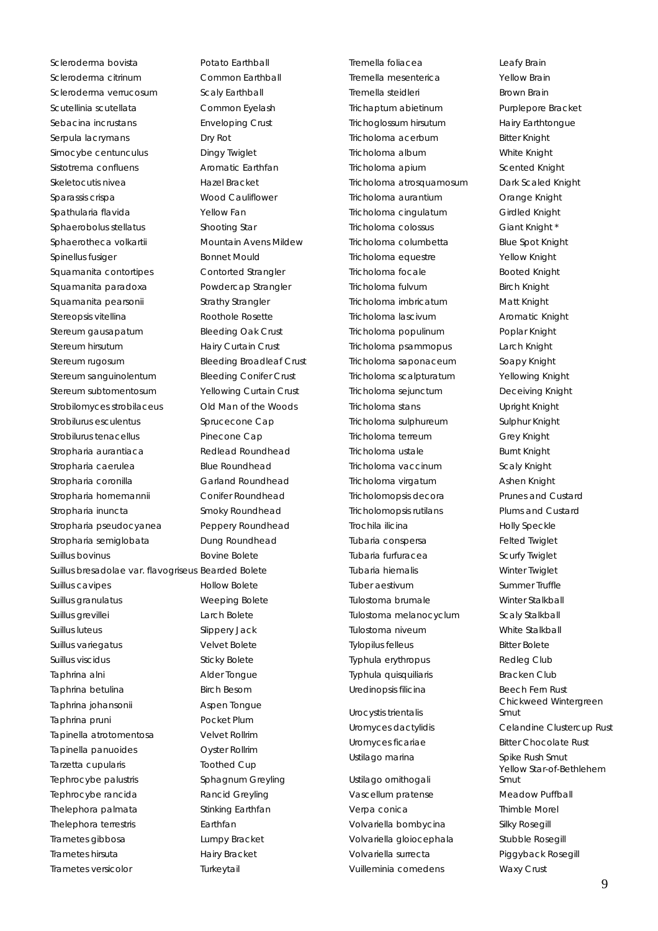Scleroderma bovista e Potato Earthball Scleroderma citrinum Common Earthball Scleroderma verrucosum Scaly Earthball Scutellinia scutellata Common Eyelash Sebacina incrustans **Enveloping Crust** Serpula lacrymans Dry Rot Simocybe centunculus Dingy Twiglet Sistotrema confluens **Aromatic Earthfan** Skeletocutis nivea<br>
Hazel Bracket Sparassis crispa Wood Cauliflower Spathularia flavida Yellow Fan Sphaerobolus stellatus Shooting Star Sphaerotheca volkartii Mountain Avens Mildew Spinellus fusiger Bonnet Mould Squamanita contortipes Contorted Strangler Squamanita paradoxa Powdercap Strangler Squamanita pearsonii Strathy Strangler Stereopsis vitellina Roothole Rosette Stereum gausapatum Bleeding Oak Crust Stereum hirsutum Hairy Curtain Crust Stereum rugosum Bleeding Broadleaf Crust Stereum sanguinolentum Bleeding Conifer Crust Stereum subtomentosum Yellowing Curtain Crust Strobilomyces strobilaceus Old Man of the Woods Strobilurus esculentus este anno 1992 - Sprucecone Cap Strobilurus tenacellus Pinecone Cap Stropharia aurantiaca Redlead Roundhead Stropharia caerulea Blue Roundhead Stropharia coronilla Garland Roundhead Stropharia hornemannii Conifer Roundhead Stropharia inuncta<br>
Smoky Roundhead Stropharia pseudocyanea Peppery Roundhead Stropharia semiglobata Dung Roundhead Suillus bovinus **Bovine Bolete** Suillus bresadolae var. flavogriseus Bearded Bolete Suillus cavipes **Hollow Bolete** Suillus granulatus **Weeping Bolete** Suillus grevillei **Larch Bolete** Suillus luteus Slippery Jack Suillus variegatus variegatus Velvet Bolete Suillus viscidus **Sticky Bolete** Taphrina alni **Alder Tongue** Taphrina betulina **Birch Besom** Taphrina johansonii and Aspen Tongue Taphrina pruni **Pocket Plum** Tapinella atrotomentosa Velvet Rollrim Tapinella panuoides Oyster Rollrim Tarzetta cupularis Toothed Cup Tephrocybe palustris Sphagnum Greyling Tephrocybe rancida Rancid Greyling Thelephora palmata Stinking Earthfan Thelephora terrestris **Earthfan** Trametes gibbosa Lumpy Bracket Trametes hirsuta Hairy Bracket Trametes versicolor Turkeytail

Tremella foliacea Leafy Brain Tremella mesenterica Yellow Brain Tremella steidleri **Brown Brain** Trichaptum abietinum Purplepore Bracket Trichoglossum hirsutum Hairy Earthtongue Tricholoma acerbum Bitter Knight Tricholoma album White Knight Tricholoma apium Scented Knight Tricholoma atrosquamosum Dark Scaled Knight Tricholoma aurantium Orange Knight Tricholoma cingulatum Girdled Knight Tricholoma colossus Giant Knight \* Tricholoma columbetta Blue Spot Knight Tricholoma equestre Yellow Knight Tricholoma focale Booted Knight Tricholoma fulvum Birch Knight Tricholoma imbricatum Matt Knight Tricholoma lascivum Aromatic Knight Tricholoma populinum Poplar Knight Tricholoma psammopus Larch Knight Tricholoma saponaceum Soapy Knight Tricholoma scalpturatum Yellowing Knight Tricholoma sejunctum Deceiving Knight Tricholoma stans Upright Knight Tricholoma sulphureum Sulphur Knight Tricholoma terreum Grey Knight Tricholoma ustale Burnt Knight Tricholoma vaccinum Scaly Knight Tricholoma virgatum **Ashen Knight** Tricholomopsis decora Prunes and Custard Tricholomopsis rutilans Plums and Custard Trochila ilicina eta alternativa eta Holly Speckle Tubaria conspersa Felted Twiglet Tubaria furfuracea **Scurfy Twiglet** Tubaria hiemalis Winter Twiglet Tuber aestivum Summer Truffle Tulostoma brumale Winter Stalkball Tulostoma melanocyclum Scaly Stalkball Tulostoma niveum White Stalkball Tylopilus felleus Bitter Bolete Typhula erythropus Redleg Club Typhula quisquiliaris **Bracken Club** Uredinopsis filicina Beech Fern Rust Urocystis trientalis Uromyces ficariae Bitter Chocolate Rust

Ustilago ornithogali Vascellum pratense Meadow Puffball Verpa conica **Thimble Morel** Volvariella bombycina Silky Rosegill Volvariella gloiocephala Stubble Rosegill Volvariella surrecta Piggyback Rosegill Vuilleminia comedens Waxy Crust

Chickweed Wintergreen Smut Uromyces dactylidis Celandine Clustercup Rust Ustilago marina **Spike Rush Smut** Yellow Star-of-Bethlehem Smut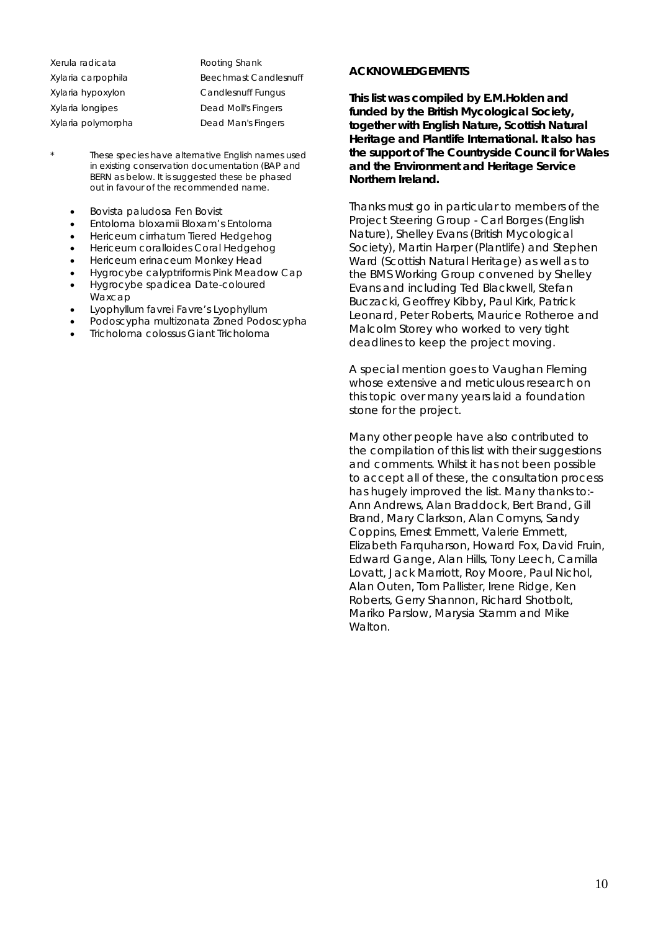| Xerula radicata    | Rooting Shank                |
|--------------------|------------------------------|
| Xylaria carpophila | <b>Beechmast Candlesnuff</b> |
| Xylaria hypoxylon  | Candlesnuff Fungus           |
| Xylaria longipes   | Dead Moll's Fingers          |
| Xylaria polymorpha | Dead Man's Fingers           |
|                    |                              |

- These species have alternative English names used in existing conservation documentation (BAP and BERN as below. It is suggested these be phased out in favour of the recommended name.
	- *Bovista paludosa* Fen Bovist
	- *Entoloma bloxamii* Bloxam's Entoloma
	- *Hericeum cirrhatum* Tiered Hedgehog
	- *Hericeum coralloides* Coral Hedgehog
	- *Hericeum erinaceum* Monkey Head
	- *Hygrocybe calyptriformis* Pink Meadow Cap
	- *Hygrocybe spadicea* Date-coloured Waxcap
	- *Lyophyllum favrei* Favre's Lyophyllum
	- *Podoscypha multizonata* Zoned Podoscypha
	- *Tricholoma colossus* Giant Tricholoma

#### **ACKNOWLEDGEMENTS**

**This list was compiled by E.M.Holden and funded by the British Mycological Society, together with English Nature, Scottish Natural Heritage and Plantlife International. It also has the support of The Countryside Council for Wales and the Environment and Heritage Service Northern Ireland.** 

Thanks must go in particular to members of the Project Steering Group - Carl Borges (English Nature), Shelley Evans (British Mycological Society), Martin Harper (Plantlife) and Stephen Ward (Scottish Natural Heritage) as well as to the BMS Working Group convened by Shelley Evans and including Ted Blackwell, Stefan Buczacki, Geoffrey Kibby, Paul Kirk, Patrick Leonard, Peter Roberts, Maurice Rotheroe and Malcolm Storey who worked to very tight deadlines to keep the project moving.

A special mention goes to Vaughan Fleming whose extensive and meticulous research on this topic over many years laid a foundation stone for the project.

Many other people have also contributed to the compilation of this list with their suggestions and comments. Whilst it has not been possible to accept all of these, the consultation process has hugely improved the list. Many thanks to:- Ann Andrews, Alan Braddock, Bert Brand, Gill Brand, Mary Clarkson, Alan Comyns, Sandy Coppins, Ernest Emmett, Valerie Emmett, Elizabeth Farquharson, Howard Fox, David Fruin, Edward Gange, Alan Hills, Tony Leech, Camilla Lovatt, Jack Marriott, Roy Moore, Paul Nichol, Alan Outen, Tom Pallister, Irene Ridge, Ken Roberts, Gerry Shannon, Richard Shotbolt, Mariko Parslow, Marysia Stamm and Mike **Walton**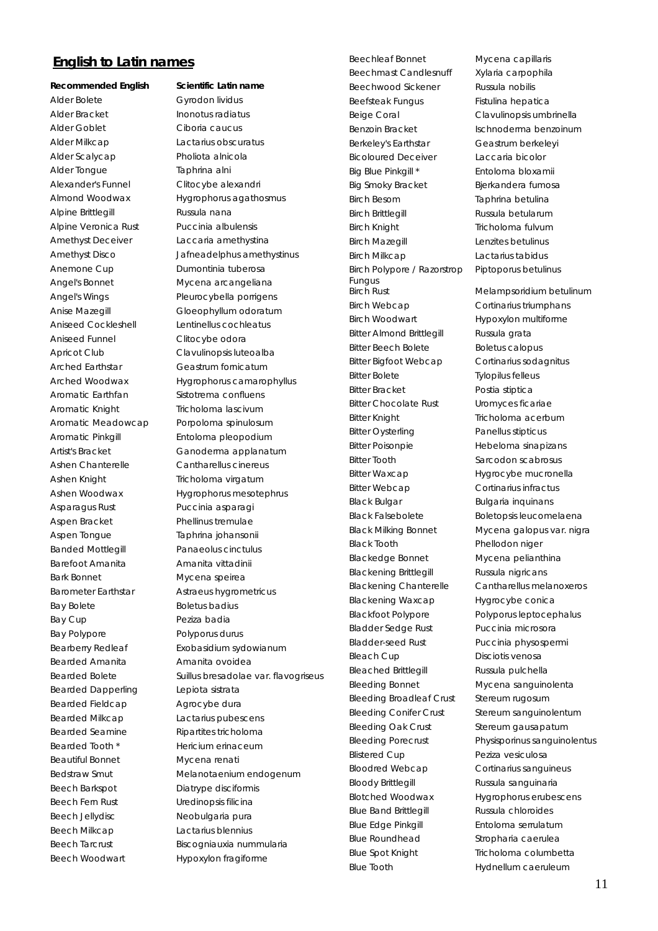### **English to Latin names**

Alder Bolete Gyrodon lividus Alder Bracket Inonotus radiatus Alder Goblet Ciboria caucus Alder Milkcap Lactarius obscuratus Alder Scalycap Pholiota alnicola Alder Tongue Taphrina alni Alexander's Funnel Clitocybe alexandri Alpine Brittlegill **Russula nana** Alpine Veronica Rust Puccinia albulensis Amethyst Deceiver Laccaria amethystina Anemone Cup Dumontinia tuberosa Angel's Bonnet Mycena arcangeliana Aniseed Cockleshell Lentinellus cochleatus Aniseed Funnel Clitocybe odora Arched Earthstar Geastrum fornicatum Aromatic Earthfan Sistotrema confluens Aromatic Knight Tricholoma lascivum Aromatic Meadowcap Porpoloma spinulosum Aromatic Pinkgill Entoloma pleopodium Ashen Chanterelle Cantharellus cinereus Ashen Knight Tricholoma virgatum Asparagus Rust Puccinia asparagi Aspen Bracket Phellinus tremulae Aspen Tongue Taphrina johansonii Banded Mottlegill Panaeolus cinctulus Barefoot Amanita **Amanita Vittadinii** Bark Bonnet Mycena speirea Bay Bolete Boletus badius Bay Cup **Peziza badia** Bay Polypore Polyporus durus Bearded Amanita **Amanita** Amanita ovoidea Bearded Dapperling Lepiota sistrata Bearded Fieldcap Agrocybe dura Bearded Milkcap Lactarius pubescens Bearded Seamine Ripartites tricholoma Bearded Tooth \* Hericium erinaceum Beautiful Bonnet Mycena renati Beech Barkspot Diatrype disciformis Beech Fern Rust Uredinopsis filicina Beech Jellydisc Neobulgaria pura Beech Milkcap Lactarius blennius

## **Recommended English Scientific Latin name**

Almond Woodwax Hygrophorus agathosmus Amethyst Disco Jafneadelphus amethystinus Angel's Wings Pleurocybella porrigens Anise Mazegill Gloeophyllum odoratum Apricot Club Clavulinopsis luteoalba Arched Woodwax Hygrophorus camarophyllus Artist's Bracket Ganoderma applanatum Ashen Woodwax Hygrophorus mesotephrus Barometer Earthstar Astraeus hygrometricus Bearberry Redleaf Exobasidium sydowianum Bearded Bolete Suillus bresadolae var. flavogriseus Bedstraw Smut Melanotaenium endogenum Beech Tarcrust Biscogniauxia nummularia Beech Woodwart Hypoxylon fragiforme

Beechleaf Bonnet Mycena capillaris Beechmast Candlesnuff Xylaria carpophila Beechwood Sickener Russula nobilis Beefsteak Fungus Fistulina hepatica Beige Coral Clavulinopsis umbrinella Benzoin Bracket Ischnoderma benzoinum Berkeley's Earthstar Geastrum berkeleyi Bicoloured Deceiver Laccaria bicolor Big Blue Pinkgill \* Findloma bloxamii Big Smoky Bracket Bjerkandera fumosa Birch Besom Taphrina betulina Birch Brittlegill **Russula betularum** Birch Knight Tricholoma fulvum Birch Mazegill **Lenzites** betulinus Birch Milkcap Lactarius tabidus Birch Polypore / Razorstrop Fungus Birch Webcap Cortinarius triumphans Birch Woodwart Hypoxylon multiforme Bitter Almond Brittlegill Russula grata Bitter Beech Bolete Boletus calopus Bitter Bigfoot Webcap Cortinarius sodagnitus Bitter Bolete Tylopilus felleus Bitter Bracket Postia stiptica Bitter Chocolate Rust Uromyces ficariae Bitter Knight Tricholoma acerbum Bitter Oysterling **Panellus stipticus** Bitter Poisonpie Hebeloma sinapizans Bitter Tooth Sarcodon scabrosus Bitter Waxcap **Hygrocybe mucronella** Bitter Webcap Cortinarius infractus Black Bulgar Bulgaria inquinans Black Falsebolete Boletopsis leucomelaena Black Tooth Phellodon niger Blackedge Bonnet Mycena pelianthina Blackening Brittlegill Russula nigricans Blackening Chanterelle Cantharellus melanoxeros Blackening Waxcap Hygrocybe conica Blackfoot Polypore Polyporus leptocephalus Bladder Sedge Rust Puccinia microsora Bladder-seed Rust Puccinia physospermi Bleach Cup Disciotis venosa Bleached Brittlegill Russula pulchella Bleeding Bonnet Mycena sanguinolenta Bleeding Broadleaf Crust Stereum rugosum Bleeding Conifer Crust Stereum sanguinolentum Bleeding Oak Crust Stereum gausapatum Blistered Cup **Peziza** vesiculosa Bloodred Webcap Cortinarius sanguineus Bloody Brittlegill Russula sanguinaria Blotched Woodwax Hygrophorus erubescens Blue Band Brittlegill Russula chloroides Blue Edge Pinkgill **Entoloma** serrulatum Blue Roundhead Stropharia caerulea Blue Spot Knight Tricholoma columbetta Blue Tooth **Hydnellum caeruleum** 

Piptoporus betulinus Birch Rust Melampsoridium betulinum Black Milking Bonnet Mycena galopus var. nigra Bleeding Porecrust Physisporinus sanguinolentus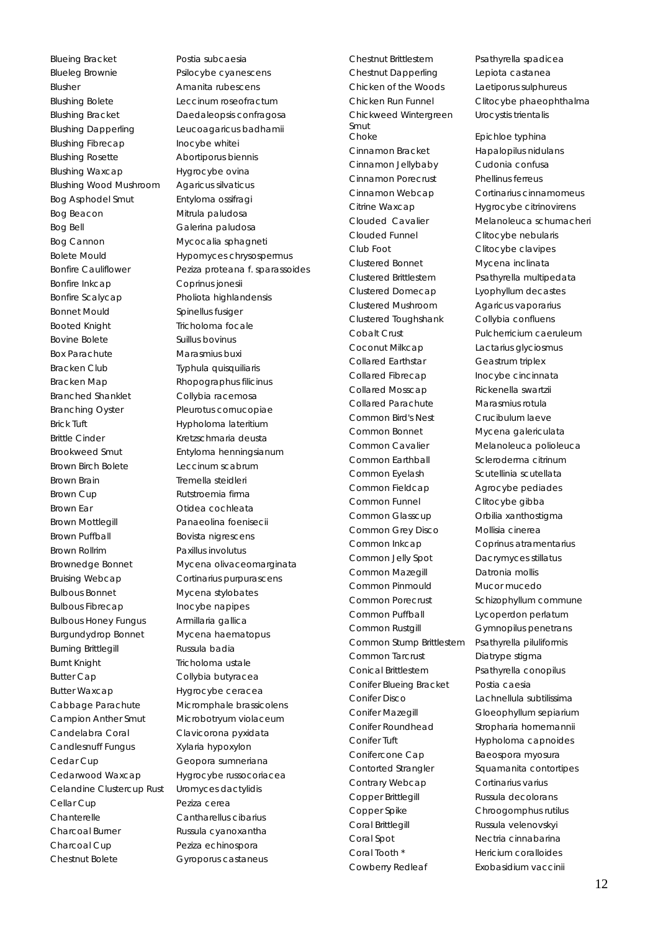Blueing Bracket Postia subcaesia Blueleg Brownie Psilocybe cyanescens Blusher **Amanita rubescens** Blushing Bolete Leccinum roseofractum Blushing Bracket Daedaleopsis confragosa Blushing Dapperling Leucoagaricus badhamii Blushing Fibrecap Inocybe whitei Blushing Rosette Abortiporus biennis Blushing Waxcap Hygrocybe ovina Blushing Wood Mushroom Agaricus silvaticus Bog Asphodel Smut Entyloma ossifragi Bog Beacon Mitrula paludosa Bog Bell Galerina paludosa Bog Cannon Mycocalia sphagneti Bonfire Inkcap Coprinus jonesii Bonfire Scalycap Pholiota highlandensis Bonnet Mould Spinellus fusiger Booted Knight Tricholoma focale Bovine Bolete Suillus bovinus Box Parachute Marasmius buxi Bracken Club Typhula quisquiliaris Bracken Map Rhopographus filicinus Branched Shanklet Collybia racemosa Branching Oyster Pleurotus cornucopiae Brick Tuft **Hypholoma** lateritium Brittle Cinder Kretzschmaria deusta Brookweed Smut Entyloma henningsianum Brown Birch Bolete Leccinum scabrum Brown Brain Tremella steidleri Brown Cup **Rutstroemia** firma Brown Ear **Calculation** Otidea cochleata Brown Mottlegill Panaeolina foenisecii Brown Puffball Bovista nigrescens Brown Rollrim Paxillus involutus Bruising Webcap Cortinarius purpurascens Bulbous Bonnet Mycena stylobates Bulbous Fibrecap Inocybe napipes Bulbous Honey Fungus Armillaria gallica Burgundydrop Bonnet Mycena haematopus Burning Brittlegill **Russula badia** Burnt Knight Tricholoma ustale Butter Cap Collybia butyracea Butter Waxcap Hygrocybe ceracea Cabbage Parachute Micromphale brassicolens Campion Anther Smut Microbotryum violaceum Candelabra Coral Clavicorona pyxidata Candlesnuff Fungus Xylaria hypoxylon Cedar Cup Geopora sumneriana Cedarwood Waxcap Hygrocybe russocoriacea Celandine Clustercup Rust Uromyces dactylidis Cellar Cup **Peziza** cerea Chanterelle Cantharellus cibarius Charcoal Burner Russula cyanoxantha Charcoal Cup Peziza echinospora

Bolete Mould **Hypomyces chrysospermus** Bonfire Cauliflower Peziza proteana f. sparassoides Brownedge Bonnet Mycena olivaceomarginata Chestnut Bolete **Gyroporus castaneus** 

Chestnut Brittlestem Psathyrella spadicea Chestnut Dapperling Lepiota castanea Chicken of the Woods Laetiporus sulphureus Chicken Run Funnel Clitocybe phaeophthalma Chickweed Wintergreen Smut Choke Epichloe typhina Cinnamon Bracket Hapalopilus nidulans Cinnamon Jellybaby Cudonia confusa Cinnamon Porecrust Phellinus ferreus Citrine Waxcap Hygrocybe citrinovirens Clouded Funnel Clitocybe nebularis Club Foot Clitocybe clavipes Clustered Bonnet Mycena inclinata Clustered Brittlestem Psathyrella multipedata Clustered Domecap Lyophyllum decastes Clustered Mushroom Agaricus vaporarius Clustered Toughshank Collybia confluens Cobalt Crust **Pulcherricium caeruleum** Coconut Milkcap Lactarius glyciosmus Collared Earthstar Geastrum triplex Collared Fibrecap Inocybe cincinnata Collared Mosscap Rickenella swartzii Collared Parachute Marasmius rotula Common Bird's Nest Crucibulum laeve Common Bonnet Mycena galericulata Common Cavalier Melanoleuca polioleuca Common Earthball Scleroderma citrinum Common Eyelash Scutellinia scutellata Common Fieldcap Agrocybe pediades Common Funnel Clitocybe gibba Common Glasscup Orbilia xanthostigma Common Grey Disco Mollisia cinerea Common Inkcap Coprinus atramentarius Common Jelly Spot Dacrymyces stillatus Common Mazegill Datronia mollis Common Pinmould Mucor mucedo Common Porecrust Schizophyllum commune Common Puffball Lycoperdon perlatum Common Rustgill Gymnopilus penetrans Common Stump Brittlestem Psathyrella piluliformis Common Tarcrust Diatrype stigma Conical Brittlestem Psathyrella conopilus Conifer Blueing Bracket Postia caesia Conifer Disco Lachnellula subtilissima Conifer Mazegill Gloeophyllum sepiarium Conifer Roundhead Stropharia hornemannii Conifer Tuft **Hypholoma** capnoides Conifercone Cap Baeospora myosura Contorted Strangler Squamanita contortipes Contrary Webcap Cortinarius varius Copper Brittlegill Russula decolorans Copper Spike Chroogomphus rutilus Coral Brittlegill Russula velenovskyi Coral Spot Nectria cinnabarina Coral Tooth \* **Hericium coralloides** Cowberry Redleaf **Exobasidium vaccinii** 

Urocystis trientalis

Cinnamon Webcap Cortinarius cinnamomeus Clouded Cavalier Melanoleuca schumacheri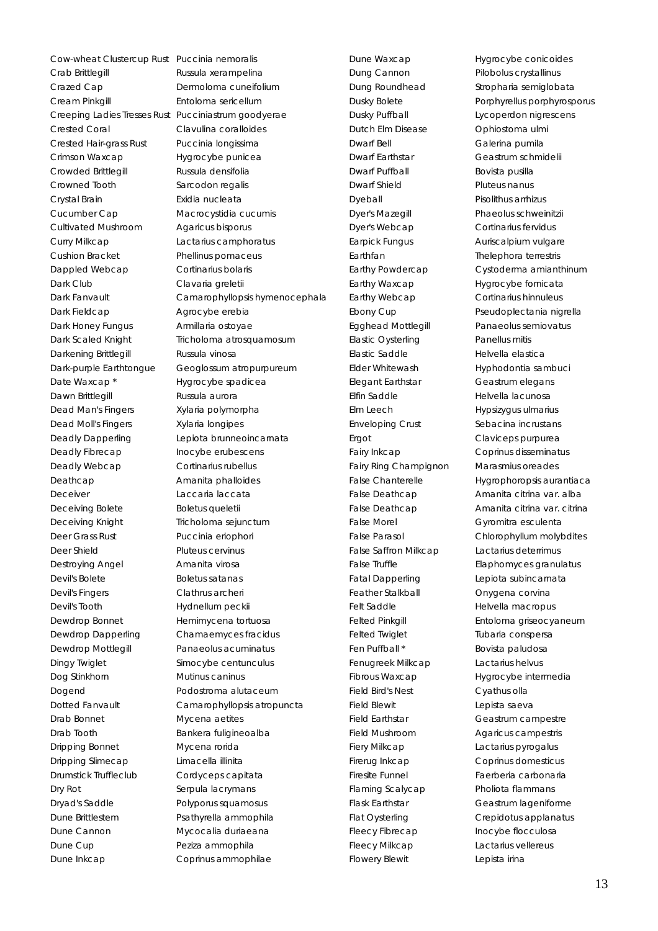Cow-wheat Clustercup Rust Puccinia nemoralis Crab Brittlegill **Russula xerampelina** Crazed Cap **Dermoloma** cuneifolium Cream Pinkgill Entoloma sericellum Crested Coral Clavulina coralloides Crested Hair-grass Rust Puccinia longissima Crimson Waxcap Hygrocybe punicea Crowded Brittlegill Russula densifolia Crowned Tooth Sarcodon regalis Crystal Brain **Exidia** nucleata Cucumber Cap Macrocystidia cucumis Cultivated Mushroom Agaricus bisporus Curry Milkcap Lactarius camphoratus Cushion Bracket Phellinus pomaceus Dappled Webcap Cortinarius bolaris Dark Club Clavaria greletii Dark Fieldcap Agrocybe erebia Dark Honey Fungus **Armillaria ostoyae** Darkening Brittlegill Russula vinosa Date Waxcap \* The Hygrocybe spadiceal Dawn Brittlegill **Russula** aurora Dead Man's Fingers Xylaria polymorpha Dead Moll's Fingers Xylaria longipes Deadly Fibrecap Inocybe erubescens Deadly Webcap Cortinarius rubellus Deathcap **Amanita phalloides** Deceiver **Laccaria laccata** Deceiving Bolete Boletus queletii Deceiving Knight Tricholoma sejunctum Deer Grass Rust Puccinia eriophori Deer Shield Pluteus cervinus Destroying Angel **Amanita virosa** Devil's Bolete Boletus satanas Devil's Fingers Clathrus archeri Devil's Tooth Hydnellum peckii Dewdrop Bonnet Hemimycena tortuosa Dewdrop Dapperling Chamaemyces fracidus Dewdrop Mottlegill Panaeolus acuminatus Dingy Twiglet Simocybe centunculus Dog Stinkhorn Mutinus caninus Dogend **Podostroma alutaceum** Drab Bonnet Mycena aetites Drab Tooth Bankera fuligineoalba Dripping Bonnet Mycena rorida Dripping Slimecap Limacella illinita Drumstick Truffleclub Cordyceps capitata Dry Rot **Serpula lacrymans** Dryad's Saddle Polyporus squamosus Dune Brittlestem Psathyrella ammophila Dune Cannon Mycocalia duriaeana Dune Cup **Peziza ammophila** Dune Inkcap Coprinus ammophilae

Creeping Ladies Tresses Rust Pucciniastrum goodyerae Dark Fanvault Camarophyllopsis hymenocephala Dark Scaled Knight Tricholoma atrosquamosum Dark-purple Earthtongue Geoglossum atropurpureum Deadly Dapperling Lepiota brunneoincarnata Dotted Fanvault Camarophyllopsis atropuncta

Dung Cannon Pilobolus crystallinus Dutch Elm Disease Ophiostoma ulmi Dwarf Bell Galerina pumila Dwarf Earthstar Geastrum schmidelii Dwarf Puffball Bovista pusilla Dwarf Shield Pluteus nanus Dyeball **Pisolithus arrhizus** Dyer's Mazegill Phaeolus schweinitzii Dyer's Webcap Cortinarius fervidus Earpick Fungus **Auriscalpium vulgare** Earthfan Thelephora terrestris Earthy Waxcap Hygrocybe fornicata Earthy Webcap Cortinarius hinnuleus Elastic Oysterling Panellus mitis Elastic Saddle Helvella elastica Elegant Earthstar Geastrum elegans Elfin Saddle Helvella lacunosa Elm Leech Hypsizygus ulmarius Enveloping Crust Sebacina incrustans Ergot Claviceps purpurea Fairy Ring Champignon Marasmius oreades False Morel **Gyromitra** esculenta False Saffron Milkcap Lactarius deterrimus Fatal Dapperling Lepiota subincarnata Feather Stalkball **Convings** Onygena corvina Felt Saddle Helvella macropus Felted Twiglet Tubaria conspersa Fen Puffball \* Bovista paludosa Fenugreek Milkcap Lactarius helvus Field Bird's Nest Cyathus olla Field Blewit **Lepista saeva** Field Earthstar Geastrum campestre Field Mushroom Agaricus campestris Fiery Milkcap Lactarius pyrogalus Firerug Inkcap Coprinus domesticus Firesite Funnel Faerberia carbonaria Flaming Scalycap Pholiota flammans Fleecy Fibrecap Inocybe flocculosa Fleecy Milkcap Lactarius vellereus Flowery Blewit Lepista irina

Dune Waxcap Hygrocybe conicoides Dung Roundhead Stropharia semiglobata Dusky Bolete **Porphyrellus porphyrosporus** Dusky Puffball Lycoperdon nigrescens Earthy Powdercap Cystoderma amianthinum Ebony Cup Pseudoplectania nigrella Egghead Mottlegill Panaeolus semiovatus Elder Whitewash **Hyphodontia sambuci** Fairy Inkcap Coprinus disseminatus False Chanterelle **Hygrophoropsis aurantiaca** False Deathcap **Amanita citrina var.** alba False Deathcap **Amanita citrina var. citrina** False Parasol Chlorophyllum molybdites False Truffle Elaphomyces granulatus Felted Pinkgill **Entoloma** griseocyaneum Fibrous Waxcap **Hygrocybe intermedia** Flask Earthstar Geastrum lageniforme Flat Oysterling Crepidotus applanatus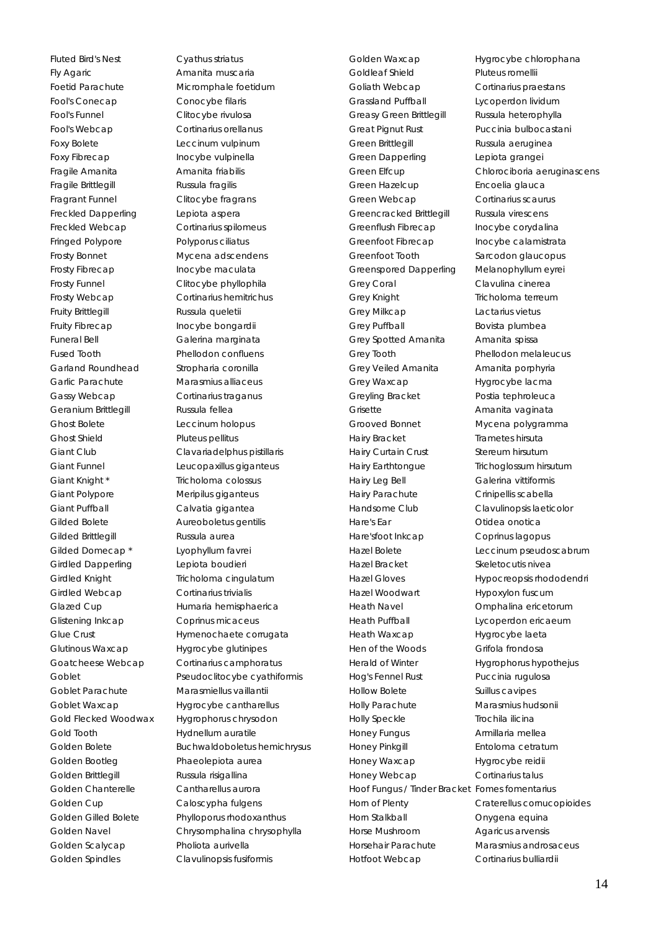Fluted Bird's Nest Cyathus striatus Fly Agaric **Amanita muscaria** Foetid Parachute Micromphale foetidum Fool's Conecap Conocybe filaris Fool's Funnel Clitocybe rivulosa Fool's Webcap Cortinarius orellanus Foxy Bolete Leccinum vulpinum Foxy Fibrecap Inocybe vulpinella Fragile Amanita **Amanita** Fragile Amanita Fragile Brittlegill Russula fragilis Fragrant Funnel Clitocybe fragrans Freckled Dapperling Lepiota aspera Freckled Webcap Cortinarius spilomeus Fringed Polypore Polyporus ciliatus Frosty Bonnet Mycena adscendens Frosty Fibrecap Inocybe maculata Frosty Funnel Clitocybe phyllophila Frosty Webcap Cortinarius hemitrichus Fruity Brittlegill **Russula queletii** Fruity Fibrecap Inocybe bongardii Funeral Bell Galerina marginata Fused Tooth Phellodon confluens Garland Roundhead Stropharia coronilla Garlic Parachute Marasmius alliaceus Gassy Webcap Cortinarius traganus Geranium Brittlegill Russula fellea Ghost Bolete Leccinum holopus Ghost Shield Pluteus pellitus Giant Knight \* Tricholoma colossus Giant Polypore Meripilus giganteus Giant Puffball Calvatia gigantea Gilded Bolete **Aureoboletus gentilis** Gilded Brittlegill Russula aurea Gilded Domecap<sup>\*</sup> Lyophyllum favrei Girdled Dapperling Lepiota boudieri Girdled Knight Tricholoma cingulatum Girdled Webcap Cortinarius trivialis Glistening Inkcap Coprinus micaceus Glutinous Waxcap Hygrocybe glutinipes Goblet Parachute Marasmiellus vaillantii Gold Flecked Woodwax Hygrophorus chrysodon Gold Tooth Hydnellum auratile Golden Bootleg Phaeolepiota aurea Golden Brittlegill **Russula risigallina** Golden Chanterelle Cantharellus aurora Golden Cup Caloscypha fulgens Golden Scalycap Pholiota aurivella

Giant Club Clavariadelphus pistillaris Giant Funnel Leucopaxillus giganteus Glazed Cup **Humaria hemisphaerica** Glue Crust **Hymenochaete corrugata** Goatcheese Webcap Cortinarius camphoratus Goblet Pseudoclitocybe cyathiformis Goblet Waxcap Hygrocybe cantharellus Golden Bolete Buchwaldoboletus hemichrysus Golden Gilled Bolete Phylloporus rhodoxanthus Golden Navel Chrysomphalina chrysophylla Golden Spindles Clavulinopsis fusiformis

Golden Waxcap Hygrocybe chlorophana Goldleaf Shield Pluteus romellii Goliath Webcap Cortinarius praestans Grassland Puffball **Lycoperdon lividum** Greasy Green Brittlegill Russula heterophylla Great Pignut Rust Puccinia bulbocastani Green Brittlegill **Russula** aeruginea Green Dapperling Lepiota grangei Green Hazelcup **Encoelia glauca** Green Webcap Cortinarius scaurus Greencracked Brittlegill Russula virescens Greenflush Fibrecap Inocybe corydalina Greenfoot Fibrecap Inocybe calamistrata Greenfoot Tooth Sarcodon glaucopus Greenspored Dapperling Melanophyllum eyrei Grey Coral Clavulina cinerea Grey Knight Tricholoma terreum Grey Milkcap Lactarius vietus Grey Puffball Bovista plumbea Grey Spotted Amanita Amanita spissa Grey Tooth Phellodon melaleucus Grey Veiled Amanita **Amanita** porphyria Grey Waxcap Hygrocybe lacma Greyling Bracket Postia tephroleuca Grisette **Amanita vaginata** Grooved Bonnet Mycena polygramma Hairy Bracket Trametes hirsuta Hairy Curtain Crust Stereum hirsutum Hairy Earthtongue Trichoglossum hirsutum Hairy Leg Bell Galerina vittiformis Hairy Parachute Crinipellis scabella Handsome Club Clavulinopsis laeticolor Hare's Ear Otidea onotica Hare'sfoot Inkcap Coprinus lagopus Hazel Bracket Skeletocutis nivea Hazel Woodwart Hypoxylon fuscum Heath Navel Omphalina ericetorum Heath Puffball Lycoperdon ericaeum Heath Waxcap Hygrocybe laeta Hen of the Woods Grifola frondosa Herald of Winter **Hygrophorus hypothejus** Hog's Fennel Rust Puccinia rugulosa Hollow Bolete Suillus cavipes Holly Parachute Marasmius hudsonii Holly Speckle Trochila ilicina Honey Fungus Armillaria mellea Honey Pinkgill Entoloma cetratum Honey Waxcap Hygrocybe reidii Honey Webcap Cortinarius talus Hoof Fungus / Tinder Bracket Fomes fomentarius Horn Stalkball **Conversion** Onygena equina Horse Mushroom Agaricus arvensis Horsehair Parachute Marasmius androsaceus Hotfoot Webcap Cortinarius bulliardii

Green Elfcup Chlorociboria aeruginascens Hazel Bolete **Leccinum** pseudoscabrum Hazel Gloves Hypocreopsis rhododendri Horn of Plenty Craterellus cornucopioides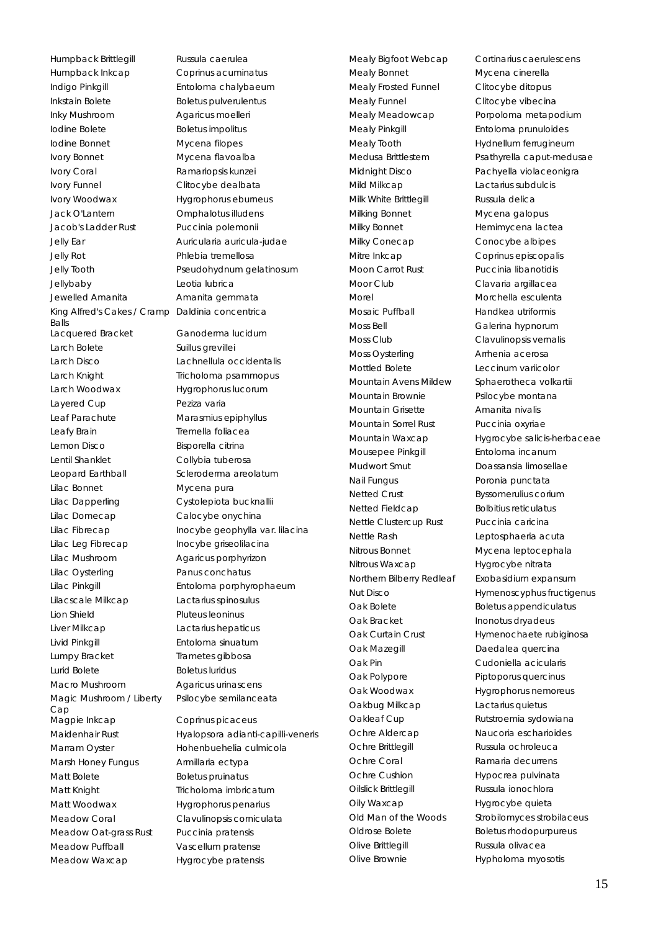Humpback Brittlegill Russula caerulea Humpback Inkcap Coprinus acuminatus Indigo Pinkgill Entoloma chalybaeum Inkstain Bolete Boletus pulverulentus Inky Mushroom Agaricus moelleri Iodine Bolete Boletus impolitus Iodine Bonnet Mycena filopes Ivory Bonnet Mycena flavoalba Ivory Coral **Ramariopsis kunzei** Ivory Funnel Clitocybe dealbata Ivory Woodwax Hygrophorus eburneus Jack O'Lantern Omphalotus illudens Jacob's Ladder Rust Puccinia polemonii Jelly Ear Auricularia auricula-judae Jelly Rot Phlebia tremellosa Jelly Tooth Pseudohydnum gelatinosum Jellybaby Leotia lubrica Jewelled Amanita Amanita gemmata King Alfred's Cakes / Cramp Daldinia concentrica Balls Lacquered Bracket **Ganoderma lucidum** Larch Bolete Suillus grevillei Larch Disco Lachnellula occidentalis Larch Knight Tricholoma psammopus Larch Woodwax Hygrophorus lucorum Layered Cup Peziza varia Leaf Parachute Marasmius epiphyllus Leafy Brain Tremella foliacea Lemon Disco Bisporella citrina Lentil Shanklet Collybia tuberosa Leopard Earthball Scleroderma areolatum Lilac Bonnet Mycena pura Lilac Dapperling Cystolepiota bucknallii Lilac Domecap Calocybe onychina Lilac Fibrecap Inocybe geophylla var. lilacina Lilac Leg Fibrecap Inocybe griseolilacina Lilac Mushroom Agaricus porphyrizon Lilac Oysterling Panus conchatus Lilac Pinkgill Entoloma porphyrophaeum Lilacscale Milkcap Lactarius spinosulus Lion Shield Pluteus leoninus Liver Milkcap Lactarius hepaticus Livid Pinkgill Entoloma sinuatum Lumpy Bracket Trametes gibbosa Lurid Bolete Boletus luridus Macro Mushroom Agaricus urinascens Magic Mushroom / Liberty Cap Magpie Inkcap Coprinus picaceus Marram Oyster Hohenbuehelia culmicola Marsh Honey Fungus Armillaria ectypa Matt Bolete Boletus pruinatus Matt Knight Tricholoma imbricatum Matt Woodwax Hygrophorus penarius Meadow Coral Clavulinopsis corniculata Meadow Oat-grass Rust Puccinia pratensis Meadow Puffball Vascellum pratense

Psilocybe semilanceata

Maidenhair Rust **Hyalopsora adianti-capilli-veneris** Meadow Waxcap Hygrocybe pratensis

Mealy Bonnet Mycena cinerella Mealy Frosted Funnel Clitocybe ditopus Mealy Funnel Clitocybe vibecina Mealy Pinkgill Entoloma prunuloides Mealy Tooth Hydnellum ferrugineum Mild Milkcap Lactarius subdulcis Milk White Brittlegill Russula delica Milking Bonnet Mycena galopus Milky Bonnet Hemimycena lactea Milky Conecap Conocybe albipes Mitre Inkcap Coprinus episcopalis Moon Carrot Rust Puccinia libanotidis Moor Club Clavaria argillacea Morel Morchella esculenta Mosaic Puffball Handkea utriformis Moss Bell Galerina hypnorum Moss Club Clavulinopsis vernalis Moss Oysterling **Arrhenia** acerosa Mottled Bolete **Leccinum variicolor** Mountain Avens Mildew Sphaerotheca volkartii Mountain Brownie Psilocybe montana Mountain Grisette **Amanita nivalis** Mountain Sorrel Rust Puccinia oxyriae Mousepee Pinkgill **Entoloma** incanum Mudwort Smut Doassansia limosellae Nail Fungus Poronia punctata Netted Crust **Byssomerulius corium** Netted Fieldcap Bolbitius reticulatus Nettle Clustercup Rust Puccinia caricina Nettle Rash Leptosphaeria acuta Nitrous Bonnet Mycena leptocephala Nitrous Waxcap Hygrocybe nitrata Northern Bilberry Redleaf Exobasidium expansum Oak Bolete Boletus appendiculatus Oak Bracket Inonotus dryadeus Oak Mazegill **Daedalea** quercina Oak Pin Cudoniella acicularis Oak Polypore Piptoporus quercinus Oak Woodwax Hygrophorus nemoreus Oakbug Milkcap Lactarius quietus Oakleaf Cup Rutstroemia sydowiana Ochre Aldercap Naucoria escharioides Ochre Brittlegill Russula ochroleuca Ochre Coral **Ramaria decurrens** Ochre Cushion Hypocrea pulvinata Oilslick Brittlegill Russula ionochlora Oily Waxcap Hygrocybe quieta Oldrose Bolete Boletus rhodopurpureus Olive Brittlegill **Russula olivacea** Olive Brownie **Hypholoma** myosotis

Mealy Bigfoot Webcap Cortinarius caerulescens Mealy Meadowcap Porpoloma metapodium Medusa Brittlestem Psathyrella caput-medusae Midnight Disco Pachyella violaceonigra Mountain Waxcap Hygrocybe salicis-herbaceae Nut Disco Hymenoscyphus fructigenus Oak Curtain Crust Hymenochaete rubiginosa Old Man of the Woods Strobilomyces strobilaceus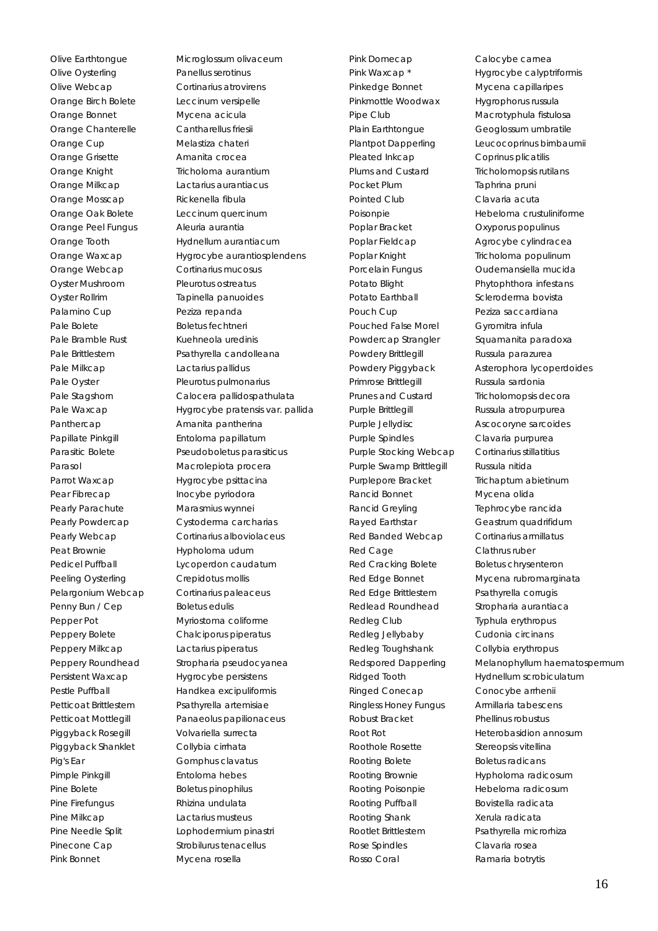Olive Oysterling Panellus serotinus Olive Webcap Cortinarius atrovirens Orange Birch Bolete Leccinum versipelle Orange Bonnet Mycena acicula Orange Chanterelle Cantharellus friesii Orange Cup Melastiza chateri Orange Grisette **Amanita** crocea Orange Knight Tricholoma aurantium Orange Milkcap Lactarius aurantiacus Orange Mosscap Rickenella fibula Orange Oak Bolete Leccinum quercinum Orange Peel Fungus Aleuria aurantia Orange Webcap Cortinarius mucosus Oyster Mushroom Pleurotus ostreatus Oyster Rollrim Tapinella panuoides Palamino Cup Peziza repanda Pale Bolete Boletus fechtneri Pale Bramble Rust Kuehneola uredinis Pale Milkcap Lactarius pallidus Pale Oyster Pleurotus pulmonarius Panthercap Amanita pantherina Papillate Pinkgill **Entoloma** papillatum Parasol Macrolepiota procera Parrot Waxcap Hygrocybe psittacina Pear Fibrecap Inocybe pyriodora Pearly Parachute Marasmius wynnei Peat Brownie Hypholoma udum Peeling Oysterling Crepidotus mollis Pelargonium Webcap Cortinarius paleaceus Penny Bun / Cep Boletus edulis Pepper Pot Myriostoma coliforme Peppery Bolete Chalciporus piperatus Peppery Milkcap Lactarius piperatus Persistent Waxcap **Hygrocybe persistens** Petticoat Brittlestem Psathyrella artemisiae Piggyback Rosegill Volvariella surrecta Piggyback Shanklet Collybia cirrhata Pig's Ear Gomphus clavatus Pimple Pinkgill **Entoloma** hebes Pine Bolete Boletus pinophilus Pine Firefungus Rhizina undulata Pine Milkcap Lactarius musteus Pine Needle Split Lophodermium pinastri Pinecone Cap Strobilurus tenacellus Pink Bonnet Mycena rosella

Olive Earthtongue Microglossum olivaceum Orange Tooth Hydnellum aurantiacum Orange Waxcap Hygrocybe aurantiosplendens Pale Brittlestem Psathyrella candolleana Pale Stagshorn Calocera pallidospathulata Pale Waxcap Hygrocybe pratensis var. pallida Parasitic Bolete Pseudoboletus parasiticus Pearly Powdercap Cystoderma carcharias Pearly Webcap Cortinarius alboviolaceus Pedicel Puffball **Lycoperdon caudatum** Peppery Roundhead Stropharia pseudocyanea Pestle Puffball Handkea excipuliformis Petticoat Mottlegill Panaeolus papilionaceus

Pink Domecap Calocybe carnea Pinkedge Bonnet Mycena capillaripes Pinkmottle Woodwax Hygrophorus russula Pipe Club Macrotyphula fistulosa Plain Earthtongue Geoglossum umbratile Pleated Inkcap Coprinus plicatilis Plums and Custard Tricholomopsis rutilans Pocket Plum Taphrina pruni Pointed Club Clavaria acuta Poplar Bracket Oxyporus populinus Poplar Fieldcap Agrocybe cylindracea Poplar Knight Tricholoma populinum Potato Earthball Scleroderma bovista Pouch Cup **Peziza** saccardiana Pouched False Morel **Gyromitra infula** Powdery Brittlegill Russula parazurea Primrose Brittlegill Russula sardonia Prunes and Custard Tricholomopsis decora Purple Brittlegill Russula atropurpurea Purple Jellydisc **Ascocoryne sarcoides** Purple Spindles Clavaria purpurea Purple Stocking Webcap Cortinarius stillatitius Purple Swamp Brittlegill Russula nitida Purplepore Bracket Trichaptum abietinum Rancid Bonnet Mycena olida Rancid Greyling Tephrocybe rancida Rayed Earthstar Geastrum quadrifidum Red Banded Webcap Cortinarius armillatus Red Cage Clathrus ruber Red Cracking Bolete Boletus chrysenteron Red Edge Brittlestem Psathyrella corrugis Redlead Roundhead Stropharia aurantiaca Redleg Club Typhula erythropus Redleg Jellybaby Cudonia circinans Redleg Toughshank Collybia erythropus Ringed Conecap Conocybe arrhenii Ringless Honey Fungus Armillaria tabescens Robust Bracket Phellinus robustus Roothole Rosette Stereopsis vitellina Rooting Bolete Boletus radicans Rooting Poisonpie Hebeloma radicosum Rooting Puffball Bovistella radicata Rooting Shank Xerula radicata Rootlet Brittlestem Psathyrella microrhiza Rose Spindles Clavaria rosea Rosso Coral **Ramaria** botrytis

Pink Waxcap \* Fink Waxcap \* Hygrocybe calyptriformis Plantpot Dapperling Leucocoprinus birnbaumii Poisonpie Hebeloma crustuliniforme Porcelain Fungus **Oudemansiella mucida** Potato Blight Phytophthora infestans Powdercap Strangler Squamanita paradoxa Powdery Piggyback Asterophora lycoperdoides Red Edge Bonnet Mycena rubromarginata Redspored Dapperling Melanophyllum haematospermum Ridged Tooth **Hydnellum scrobiculatum** Root Rot **Notal Communist Root Rot** Heterobasidion annosum Rooting Brownie **Hypholoma** radicosum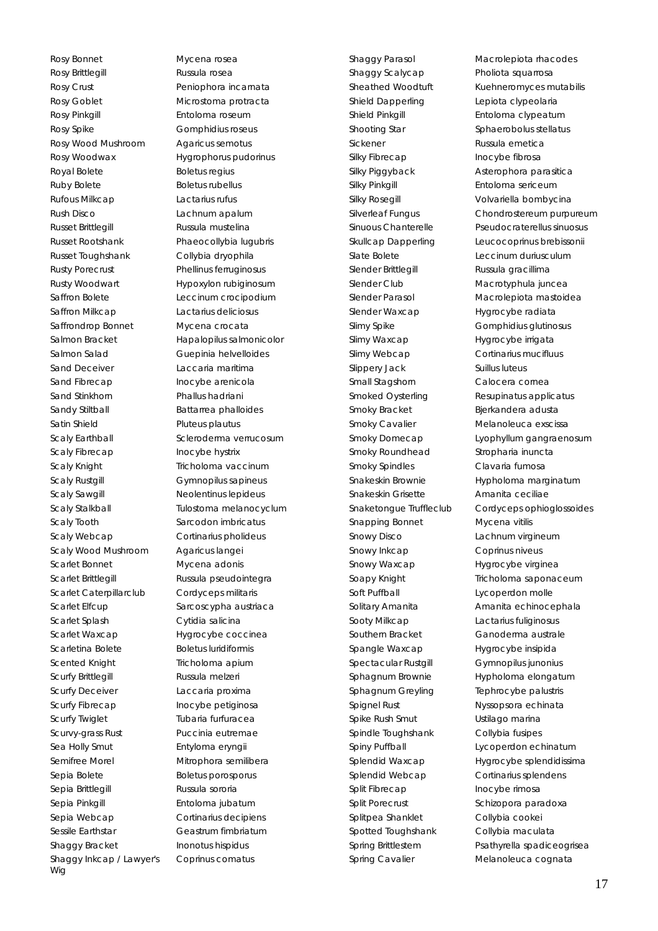Rosy Bonnet Mycena rosea Rosy Brittlegill **Russula rosea** Rosy Crust **Peniophora** incarnata Rosy Goblet Microstoma protracta Rosy Pinkgill **Entoloma** roseum Rosy Spike Gomphidius roseus Rosy Wood Mushroom Agaricus semotus Rosy Woodwax Hygrophorus pudorinus Royal Bolete Boletus regius Ruby Bolete Boletus rubellus Rufous Milkcap Lactarius rufus Rush Disco Lachnum apalum Russet Brittlegill Russula mustelina Russet Rootshank Phaeocollybia lugubris Russet Toughshank Collybia dryophila Rusty Porecrust **Phellinus ferruginosus** Rusty Woodwart **Hypoxylon rubiginosum** Saffron Bolete Leccinum crocipodium Saffron Milkcap Lactarius deliciosus Saffrondrop Bonnet Mycena crocata Salmon Salad Guepinia helvelloides Sand Deceiver **Laccaria maritima** Sand Fibrecap Inocybe arenicola Sand Stinkhorn Phallus hadriani Sandy Stiltball Battarrea phalloides Satin Shield Pluteus plautus Scaly Fibrecap Inocybe hystrix Scaly Knight Tricholoma vaccinum Scaly Rustgill Gymnopilus sapineus Scaly Sawgill **Neolentinus lepideus** Scaly Tooth Sarcodon imbricatus Scaly Webcap Cortinarius pholideus Scaly Wood Mushroom Agaricus langei Scarlet Bonnet Mycena adonis Scarlet Brittlegill Russula pseudointegra Scarlet Caterpillarclub Cordyceps militaris Scarlet Elfcup Sarcoscypha austriaca Scarlet Splash Cytidia salicina Scarlet Waxcap Hygrocybe coccinea Scarletina Bolete Boletus luridiformis Scented Knight Tricholoma apium Scurfy Brittlegill **Russula melzeri** Scurfy Deceiver **Laccaria proxima** Scurfy Fibrecap Inocybe petiginosa Scurfy Twiglet Tubaria furfuracea Scurvy-grass Rust Puccinia eutremae Sea Holly Smut Entyloma eryngii Semifree Morel Mitrophora semilibera Sepia Bolete Boletus porosporus Sepia Brittlegill Russula sororia Sepia Pinkgill Entoloma jubatum Sepia Webcap Cortinarius decipiens Sessile Earthstar Geastrum fimbriatum Shaggy Bracket Inonotus hispidus Shaggy Inkcap / Lawyer's Wig

Salmon Bracket Hapalopilus salmonicolor Scaly Earthball Scleroderma verrucosum Scaly Stalkball **Tulostoma melanocyclum** Coprinus comatus

Shaggy Scalycap Pholiota squarrosa Shield Dapperling Lepiota clypeolaria Shield Pinkgill **Entoloma** clypeatum Sickener Russula emetica Silky Fibrecap Inocybe fibrosa Silky Pinkgill **Entoloma** sericeum Slender Brittlegill Russula gracillima Slender Club Macrotyphula juncea Slender Waxcap Hygrocybe radiata Slimy Waxcap Hygrocybe irrigata Slimy Webcap Cortinarius mucifluus Slippery Jack Suillus luteus Small Stagshorn Calocera cornea Smoky Bracket Bjerkandera adusta Smoky Cavalier Melanoleuca exscissa Smoky Roundhead Stropharia inuncta Smoky Spindles Clavaria fumosa Snakeskin Grisette **Amanita ceciliae** Snapping Bonnet Mycena vitilis Snowy Disco Lachnum virgineum Snowy Inkcap Coprinus niveus Snowy Waxcap Hygrocybe virginea Soft Puffball **Lycoperdon molle** Sooty Milkcap Lactarius fuliginosus Southern Bracket Ganoderma australe Spangle Waxcap **Hygrocybe insipida** Spectacular Rustgill Gymnopilus junonius Sphagnum Greyling Tephrocybe palustris Spignel Rust Nyssopsora echinata Spike Rush Smut Ustilago marina Spindle Toughshank Collybia fusipes Splendid Webcap Cortinarius splendens Split Fibrecap Inocybe rimosa Split Porecrust Schizopora paradoxa Splitpea Shanklet Collybia cookei Spotted Toughshank Collybia maculata

Shaggy Parasol Macrolepiota rhacodes Sheathed Woodtuft Kuehneromyces mutabilis Shooting Star Sphaerobolus stellatus Silky Piggyback Asterophora parasitica Silky Rosegill **Volvariella bombycina** Silverleaf Fungus Chondrostereum purpureum Sinuous Chanterelle Pseudocraterellus sinuosus Skullcap Dapperling Leucocoprinus brebissonii Slate Bolete **Leccinum duriusculum** Slender Parasol Macrolepiota mastoidea Slimy Spike Gomphidius glutinosus Smoked Oysterling Resupinatus applicatus Smoky Domecap Lyophyllum gangraenosum Snakeskin Brownie Hypholoma marginatum Snaketongue Truffleclub Cordyceps ophioglossoides Soapy Knight Tricholoma saponaceum Solitary Amanita **Amanita** echinocephala Sphagnum Brownie Hypholoma elongatum Spiny Puffball **Lycoperdon echinatum** Splendid Waxcap Hygrocybe splendidissima Spring Brittlestem Psathyrella spadiceogrisea Spring Cavalier Melanoleuca cognata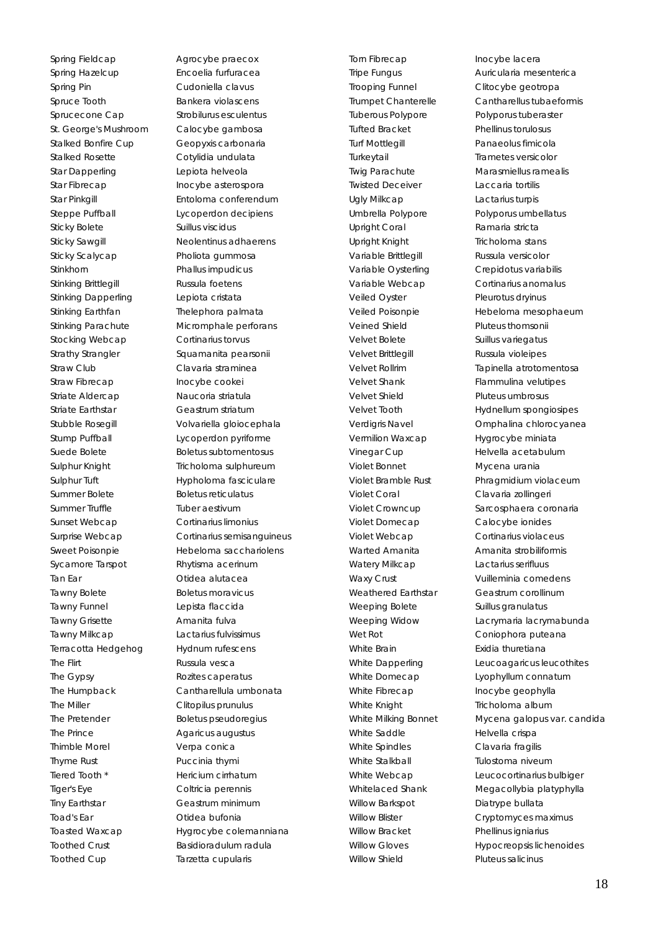Spring Fieldcap **Agrocybe praecox** Spring Hazelcup Encoelia furfuracea Spring Pin Cudoniella clavus Spruce Tooth Bankera violascens Sprucecone Cap Strobilurus esculentus St. George's Mushroom Calocybe gambosa Stalked Bonfire Cup **Geopyxis carbonaria** Stalked Rosette Cotylidia undulata Star Dapperling Lepiota helveola Star Fibrecap Inocybe asterospora Steppe Puffball Lycoperdon decipiens Sticky Bolete Suillus viscidus Sticky Sawgill Neolentinus adhaerens Sticky Scalycap Pholiota gummosa Stinkhorn Phallus impudicus Stinking Brittlegill **Russula foetens** Stinking Dapperling Lepiota cristata Stinking Earthfan Thelephora palmata Stocking Webcap Cortinarius torvus Strathy Strangler Squamanita pearsonii Straw Club Clavaria straminea Straw Fibrecap Inocybe cookei Striate Aldercap Naucoria striatula Striate Earthstar Geastrum striatum Stump Puffball **Lycoperdon pyriforme** Suede Bolete Boletus subtomentosus Sulphur Knight Tricholoma sulphureum Sulphur Tuft **Hypholoma** fasciculare Summer Bolete Boletus reticulatus Summer Truffle Tuber aestivum Sunset Webcap Cortinarius limonius Sycamore Tarspot Rhytisma acerinum Tan Ear Otidea alutacea Tawny Bolete Boletus moravicus Tawny Funnel **Lepista flaccida** Tawny Grisette **Amanita fulva** Tawny Milkcap Lactarius fulvissimus Terracotta Hedgehog Hydnum rufescens The Flirt **Russula vesca** The Gypsy **Rozites** caperatus The Miller Clitopilus prunulus The Pretender Boletus pseudoregius The Prince Agaricus augustus Thimble Morel Verpa conica Thyme Rust **Puccinia thymi** Tiered Tooth \* Hericium cirrhatum Tiger's Eye Coltricia perennis Tiny Earthstar Geastrum minimum Toad's Ear **Channel Communist Communist Communist Communist Communist Communist Communist Communist Communist Communist Communist Communist Communist Communist Communist Communist Communist Communist Communist Communist Co** Toothed Crust Basidioradulum radula Toothed Cup Tarzetta cupularis

Star Pinkgill Entoloma conferendum Stinking Parachute Micromphale perforans Stubble Rosegill Volvariella gloiocephala Surprise Webcap Cortinarius semisanguineus Sweet Poisonpie Hebeloma sacchariolens The Humpback Cantharellula umbonata Toasted Waxcap Hygrocybe colemanniana

Torn Fibrecap Inocybe lacera Trooping Funnel Clitocybe geotropa Tuberous Polypore Polyporus tuberaster Tufted Bracket Phellinus torulosus Turf Mottlegill **Panaeolus fimicola** Turkeytail **Trametes versicolor** Twisted Deceiver Laccaria tortilis Ugly Milkcap Lactarius turpis Umbrella Polypore Polyporus umbellatus Upright Coral **Ramaria stricta** Upright Knight **Tricholoma** stans Variable Brittlegill Russula versicolor Variable Oysterling Crepidotus variabilis Variable Webcap Cortinarius anomalus Veiled Oyster Pleurotus dryinus Veined Shield Pluteus thomsonii Velvet Bolete Suillus variegatus Velvet Brittlegill **Russula violeipes** Velvet Shank Flammulina velutipes Velvet Shield Pluteus umbrosus Vermilion Waxcap **Hygrocybe miniata** Vinegar Cup Helvella acetabulum Violet Bonnet Mycena urania Violet Coral Clavaria zollingeri Violet Domecap Calocybe ionides Violet Webcap Cortinarius violaceus Warted Amanita **Amanita Strobiliformis** Watery Milkcap Lactarius serifluus Weathered Earthstar **Geastrum corollinum** Weeping Bolete Suillus granulatus Wet Rot **Coniophora** puteana White Brain **Exidia thuretiana** White Fibrecap Inocybe geophylla White Knight Tricholoma album White Saddle Helvella crispa White Spindles Clavaria fragilis White Stalkball **Tulostoma** niveum Willow Barkspot Diatrype bullata Willow Bracket Phellinus igniarius Willow Shield Pluteus salicinus

Tripe Fungus Auricularia mesenterica Trumpet Chanterelle Cantharellus tubaeformis Twig Parachute Marasmiellus ramealis Veiled Poisonpie Hebeloma mesophaeum Velvet Rollrim Tapinella atrotomentosa Velvet Tooth Hydnellum spongiosipes Verdigris Navel Omphalina chlorocyanea Violet Bramble Rust Phragmidium violaceum Violet Crowncup Sarcosphaera coronaria Waxy Crust **Vuilleminia comedens** Weeping Widow **Lacrymaria lacrymabunda** White Dapperling Leucoagaricus leucothites White Domecap Lyophyllum connatum White Milking Bonnet Mycena galopus var. candida White Webcap Leucocortinarius bulbiger Whitelaced Shank Megacollybia platyphylla Willow Blister Cryptomyces maximus Willow Gloves Hypocreopsis lichenoides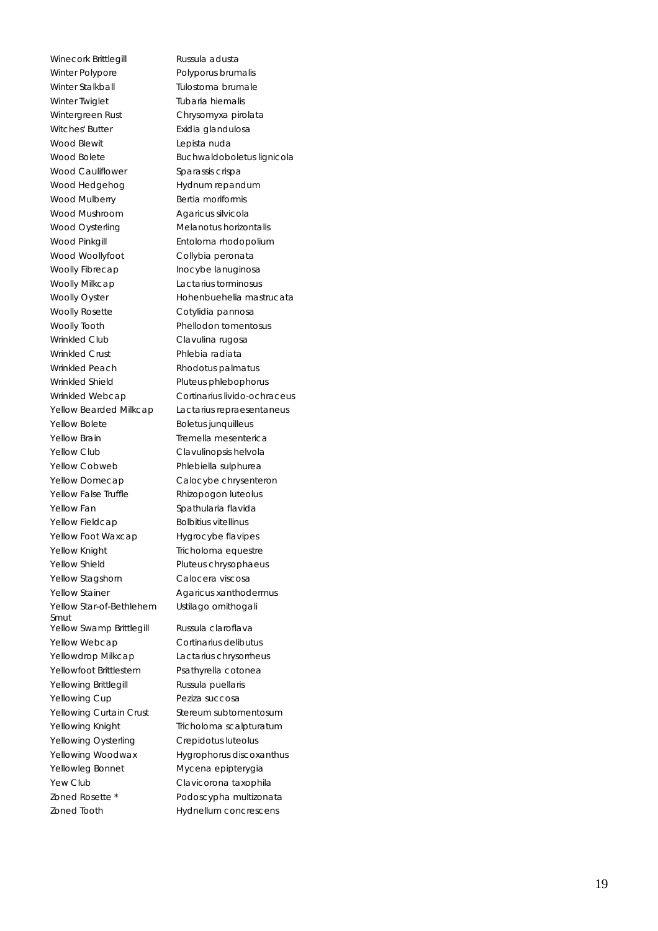Winecork Brittlegill Russula adusta Winter Polypore Polyporus brumalis Winter Stalkball **Tulostoma brumale** Winter Twiglet Tubaria hiemalis Wintergreen Rust Chrysomyxa pirolata Witches' Butter **Exidia glandulosa** Wood Blewit **Lepista nuda** Wood Cauliflower Sparassis crispa Wood Hedgehog Hydnum repandum Wood Mulberry Bertia moriformis Wood Mushroom Agaricus silvicola Wood Oysterling **Melanotus horizontalis** Wood Pinkaill **Entoloma** rhodopolium Wood Woollyfoot Collybia peronata Woolly Fibrecap Inocybe lanuginosa Woolly Milkcap Lactarius torminosus Woolly Rosette Cotylidia pannosa Woolly Tooth Phellodon tomentosus Wrinkled Club Clavulina rugosa Wrinkled Crust Phlebia radiata Wrinkled Peach Rhodotus palmatus Wrinkled Shield Pluteus phlebophorus Yellow Bolete Boletus junquilleus Yellow Brain Tremella mesenterica Yellow Club Clavulinopsis helvola Yellow Cobweb Phlebiella sulphurea Yellow Domecap Calocybe chrysenteron Yellow False Truffle Rhizopogon luteolus Yellow Fan Spathularia flavida Yellow Fieldcap Bolbitius vitellinus Yellow Foot Waxcap Hygrocybe flavipes Yellow Knight Tricholoma equestre Yellow Shield Pluteus chrysophaeus Yellow Stagshorn Calocera viscosa Yellow Stainer **Agaricus xanthodermus** Yellow Star-of-Bethlehem Smut Yellow Swamp Brittlegill Russula claroflava Yellow Webcap Cortinarius delibutus Yellowdrop Milkcap Lactarius chrysorrheus Yellowfoot Brittlestem Psathyrella cotonea Yellowing Brittlegill Russula puellaris Yellowing Cup Peziza succosa Yellowing Curtain Crust Stereum subtomentosum Yellowing Knight Tricholoma scalpturatum Yellowing Oysterling Crepidotus luteolus Yellowleg Bonnet Mycena epipterygia Yew Club Clavicorona taxophila Zoned Rosette \* Podoscypha multizonata Zoned Tooth Hydnellum concrescens

Wood Bolete Buchwaldoboletus lignicola Woolly Oyster **Hohenbuehelia mastrucata** Wrinkled Webcap Cortinarius livido-ochraceus Yellow Bearded Milkcap Lactarius repraesentaneus Ustilago ornithogali Yellowing Woodwax Hygrophorus discoxanthus

19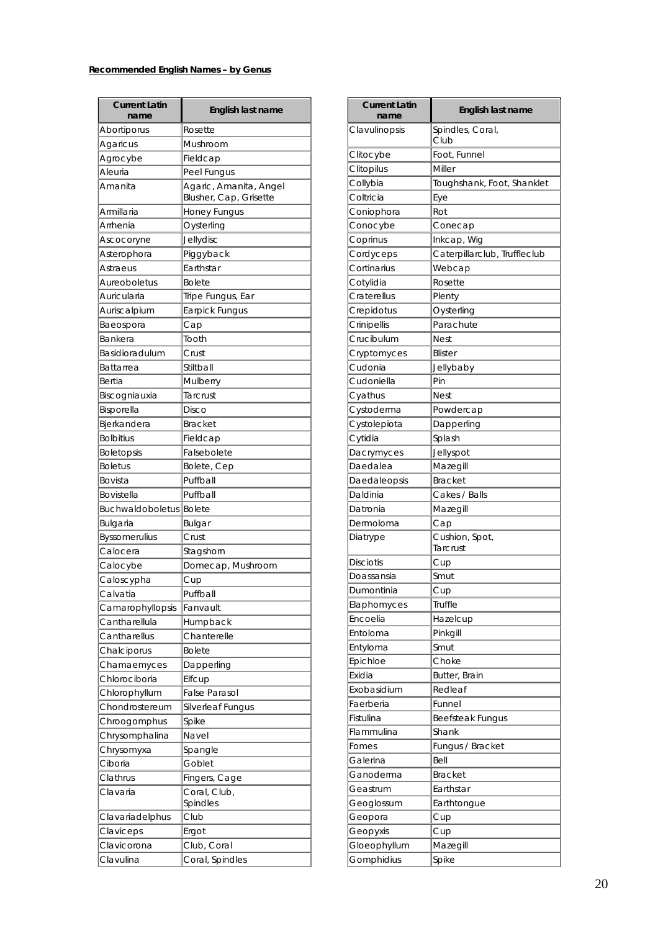### **Recommended English Names – by Genus**

| <b>Current Latin</b><br>name      | English last name                                |
|-----------------------------------|--------------------------------------------------|
| Abortiporus                       | Rosette                                          |
|                                   | Mushroom                                         |
| Agaricus                          |                                                  |
| Agrocybe                          | Fieldcap                                         |
| Aleuria                           | Peel Fungus                                      |
| Amanita                           | Agaric, Amanita, Angel<br>Blusher, Cap, Grisette |
| Armillaria                        | Honey Fungus                                     |
| Arrhenia                          | Oysterling                                       |
| Ascocoryne                        | Jellydisc                                        |
| Asterophora                       | Piggyback                                        |
| Astraeus                          | Earthstar                                        |
| Aureoboletus                      | <b>Bolete</b>                                    |
| Auricularia                       | Tripe Fungus, Ear                                |
| Auriscalpium                      | Earpick Fungus                                   |
| Baeospora                         | Cap                                              |
| Bankera                           | Tooth                                            |
| Basidioradulum                    | Crust                                            |
| Battarrea                         | Stiltball                                        |
| Bertia                            | Mulberry                                         |
| Biscogniauxia                     | Tarcrust                                         |
| Bisporella                        | Disco                                            |
| Bjerkandera                       | <b>Bracket</b>                                   |
| <b>Bolbitius</b>                  | Fieldcap                                         |
| <b>Boletopsis</b>                 | Falsebolete                                      |
| <b>Boletus</b>                    | Bolete, Cep                                      |
| Bovista                           | Puffball                                         |
| Bovistella                        | Puffball                                         |
| <b>Buchwaldoboletus</b>           | Bolete                                           |
| Bulgaria                          | Bulgar                                           |
| <b>Byssomerulius</b>              | Crust                                            |
| Calocera                          | Stagshorn                                        |
| Calocybe                          | Domecap, Mushroom                                |
| Caloscypha                        | Cup                                              |
| Calvatia                          | Fuffball                                         |
|                                   | Fanvault                                         |
| Camarophyllopsis<br>Cantharellula |                                                  |
|                                   | Humpback                                         |
| Cantharellus                      | Chanterelle                                      |
| Chalciporus                       | <b>Bolete</b>                                    |
| Chamaemyces                       | Dapperling                                       |
| Chlorociboria                     | Elfcup                                           |
| Chlorophyllum                     | <b>False Parasol</b>                             |
| Chondrostereum                    | Silverleaf Fungus                                |
| Chroogomphus                      | Spike                                            |
| Chrysomphalina                    | Navel                                            |
| Chrysomyxa                        | Spangle                                          |
| Ciboria                           | Goblet                                           |
| Clathrus                          | Fingers, Cage                                    |
| Clavaria                          | Coral, Club,<br>Spindles                         |
| Clavariadelphus                   | Club                                             |
| Claviceps                         | Ergot                                            |
| Clavicorona                       | Club, Coral                                      |
| Clavulina                         | Coral, Spindles                                  |

| <b>Current Latin</b><br>name | English last name            |
|------------------------------|------------------------------|
| Clavulinopsis                | Spindles, Coral,<br>Club     |
| Clitocybe                    | Foot, Funnel                 |
| Clitopilus                   | Miller                       |
| Collybia                     | Toughshank, Foot, Shanklet   |
| Coltricia                    | Eye                          |
| Coniophora                   | Rot                          |
| Conocybe                     | Conecap                      |
| Coprinus                     | Inkcap, Wig                  |
| Cordyceps                    | Caterpillarclub, Truffleclub |
| Cortinarius                  | Webcap                       |
| Cotylidia                    | Rosette                      |
| Craterellus                  | Plenty                       |
| Crepidotus                   | Oysterling                   |
| Crinipellis                  | Parachute                    |
| Crucibulum                   | Nest                         |
| Cryptomyces                  | <b>Blister</b>               |
| Cudonia                      | Jellybaby                    |
| Cudoniella                   | Pin                          |
| Cyathus                      | <b>Nest</b>                  |
| Cystoderma                   | Powdercap                    |
| Cystolepiota                 | Dapperling                   |
| Cytidia                      | Splash                       |
| Dacrymyces                   | Jellyspot                    |
| Daedalea                     | Mazegill                     |
| Daedaleopsis                 | <b>Bracket</b>               |
| Daldinia                     | Cakes / Balls                |
| Datronia                     | Mazegill                     |
| Dermoloma                    | Cap                          |
| Diatrype                     | Cushion, Spot,<br>Tarcrust   |
| <b>Disciotis</b>             | Cup                          |
| Doassansia                   | Smut                         |
| Dumontinia                   | Cup                          |
| Elaphomyces                  | Truffle                      |
| Encoelia                     | Hazelcup                     |
| Entoloma                     | Pinkgill                     |
| Entyloma                     | Smut                         |
| Epichloe                     | Choke                        |
| Exidia                       | Butter, Brain                |
| Exobasidium                  | Redleaf                      |
| Faerberia                    | Funnel                       |
| Fistulina                    | <b>Beefsteak Fungus</b>      |
| Flammulina                   | Shank                        |
| Fomes                        | Fungus / Bracket             |
| Galerina                     | Bell                         |
| Ganoderma                    | <b>Bracket</b>               |
| Geastrum                     | Earthstar                    |
| Geoglossum                   | Earthtongue                  |
| Geopora                      | Cup                          |
| Geopyxis                     | Cup                          |
| Gloeophyllum                 | Mazegill                     |
| Gomphidius                   | Spike                        |
|                              |                              |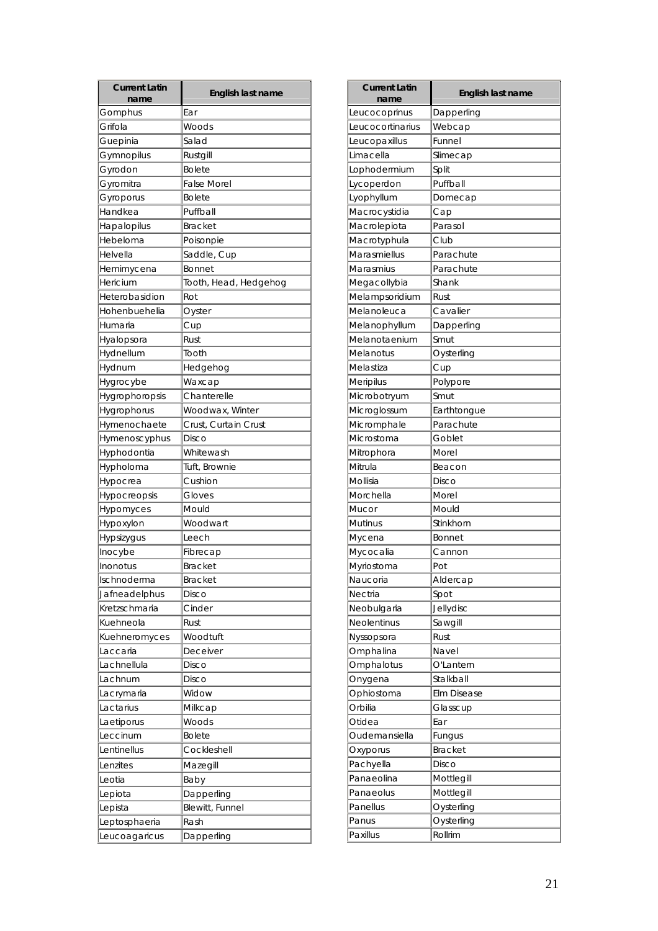| <b>Current Latin</b><br>name | English last name     |
|------------------------------|-----------------------|
| Gomphus                      | Ear                   |
| Grifola                      | Woods                 |
| Guepinia                     | Salad                 |
| Gymnopilus                   | Rustgill              |
| Gyrodon                      | <b>Bolete</b>         |
| Gyromitra                    | <b>False Morel</b>    |
| Gyroporus                    | <b>Bolete</b>         |
| Handkea                      | Puffball              |
| Hapalopilus                  | <b>Bracket</b>        |
| Hebeloma                     | Poisonpie             |
| Helvella                     | Saddle, Cup           |
| Hemimycena                   | <b>Bonnet</b>         |
| Hericium                     | Tooth, Head, Hedgehog |
| Heterobasidion               | Rot                   |
| Hohenbuehelia                | Oyster                |
| Humaria                      | Cup                   |
| Hyalopsora                   | Rust                  |
| Hydnellum                    | Tooth                 |
| Hydnum                       | Hedgehog              |
| Hygrocybe                    | Waxcap                |
| Hygrophoropsis               | Chanterelle           |
| Hygrophorus                  | Woodwax, Winter       |
| Hymenochaete                 | Crust, Curtain Crust  |
| Hymenoscyphus                | Disco                 |
| Hyphodontia                  | Whitewash             |
| Hypholoma                    | Tuft, Brownie         |
| Hypocrea                     | Cushion               |
| Hypocreopsis                 | Gloves                |
| Hypomyces                    | Mould                 |
| Hypoxylon                    | Woodwart              |
| <b>Hypsizyqus</b>            | Leech                 |
| Inocybe                      | Fibrecap              |
| Inonotus                     | <b>Bracket</b>        |
| Ischnoderma                  | <b>Bracket</b>        |
| Jafneadelphus                | Disco                 |
| Kretzschmaria                | Cinder                |
| Kuehneola                    | Rust                  |
| Kuehneromyces                | Woodtuft              |
| Laccaria                     | Deceiver              |
| Lachnellula                  | Disco                 |
| Lachnum                      | Disco                 |
| Lacrymaria                   | Widow                 |
| Lactarius                    | Milkcap               |
|                              | Woods                 |
| Laetiporus<br>Leccinum       | <b>Bolete</b>         |
| Lentinellus                  | Cockleshell           |
|                              |                       |
| Lenzites                     | Mazegill              |
| Leotia                       | Baby                  |
| Lepiota                      | Dapperling            |
| Lepista                      | Blewitt, Funnel       |
| Leptosphaeria                | Rash                  |
| Leucoagaricus                | Dapperling            |

| <b>Current Latin</b> | English last name  |
|----------------------|--------------------|
| name                 |                    |
| Leucocoprinus        | Dapperling         |
| Leucocortinarius     | Webcap             |
| Leucopaxillus        | Funnel             |
| Limacella            | Slimecap           |
| Lophodermium         | Split              |
| Lycoperdon           | Puffball           |
| Lyophyllum           | Domecap            |
| Macrocystidia        | Cap                |
| Macrolepiota         | Parasol            |
| Macrotyphula         | Club               |
| Marasmiellus         | Parachute          |
| Marasmius            | Parachute          |
| Megacollybia         | Shank              |
| Melampsoridium       | Rust               |
| Melanoleuca          | Cavalier           |
| Melanophyllum        | Dapperling         |
| Melanotaenium        | Smut               |
| Melanotus            | Oysterling         |
| Melastiza            | Cup                |
| Meripilus            | Polypore           |
| Microbotryum         | Smut               |
| Microglossum         | Earthtongue        |
| Micromphale          | Parachute          |
| Microstoma           | Goblet             |
| Mitrophora           | Morel              |
| Mitrula              | Beacon             |
| Mollisia             | Disco              |
| Morchella            | Morel              |
| Mucor                | Mould              |
| Mutinus              | Stinkhorn          |
| Mycena               | <b>Bonnet</b>      |
| Mycocalia            | Cannon             |
| Myriostoma           | Pot                |
| Naucoria             | Aldercap           |
| Nectria              | Spot               |
| Neobulgaria          | Jellydisc          |
| <b>Neolentinus</b>   | Sawgill            |
| Nyssopsora           | Rust               |
| Omphalina            | Navel              |
| Omphalotus           | O'Lantern          |
| Onygena              | Stalkball          |
| Ophiostoma           | <b>Elm Disease</b> |
| Orbilia              | Glasscup           |
| Otidea               | Ear                |
| Oudemansiella        | Fungus             |
| Oxyporus             | <b>Bracket</b>     |
| Pachyella            | Disco              |
| Panaeolina           | Mottlegill         |
| Panaeolus            | Mottlegill         |
| Panellus             | Oysterling         |
| Panus                | Oysterling         |
| Paxillus             | Rollrim            |
|                      |                    |